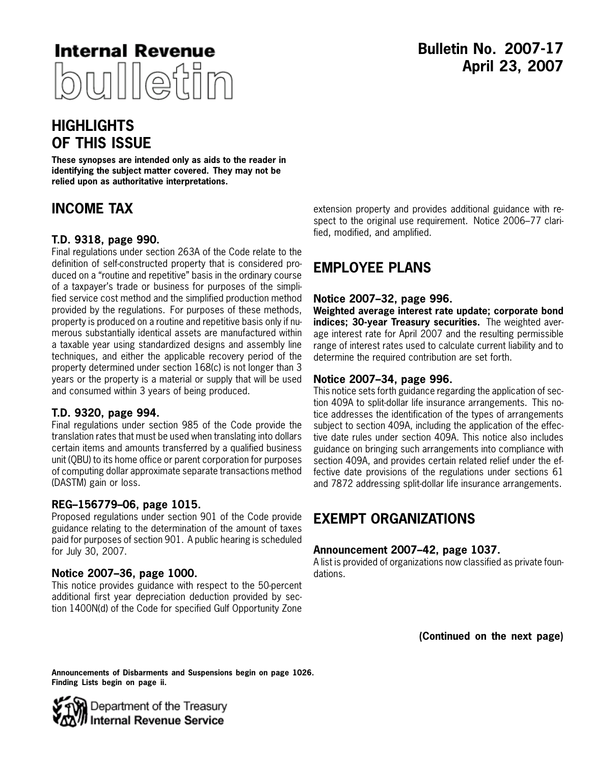



# **HIGHLIGHTS OF THIS ISSUE**

**These synopses are intended only as aids to the reader in identifying the subject matter covered. They may not be relied upon as authoritative interpretations.**

## **INCOME TAX**

## **T.D. 9318, page [990](#page-4-0).**

Final regulations under section 263A of the Code relate to the definition of self-constructed property that is considered produced on a "routine and repetitive" basis in the ordinary course of a taxpayer's trade or business for purposes of the simplified service cost method and the simplified production method provided by the regulations. For purposes of these methods, property is produced on a routine and repetitive basis only if numerous substantially identical assets are manufactured within a taxable year using standardized designs and assembly line techniques, and either the applicable recovery period of the property determined under section 168(c) is not longer than 3 years or the property is a material or supply that will be used and consumed within 3 years of being produced.

## **T.D. 9320, page [994](#page-8-0).**

Final regulations under section 985 of the Code provide the translation rates that must be used when translating into dollars certain items and amounts transferred by a qualified business unit (QBU) to its home office or parent corporation for purposes of computing dollar approximate separate transactions method (DASTM) gain or loss.

## **REG–156779–06, page [1015.](#page-29-0)**

Proposed regulations under section 901 of the Code provide guidance relating to the determination of the amount of taxes paid for purposes of section 901. A public hearing is scheduled for July 30, 2007.

## **Notice 2007–36, page [1000](#page-14-0).**

This notice provides guidance with respect to the 50-percent additional first year depreciation deduction provided by section 1400N(d) of the Code for specified Gulf Opportunity Zone

extension property and provides additional guidance with respect to the original use requirement. Notice 2006–77 clarified, modified, and amplified.

# **EMPLOYEE PLANS**

#### **Notice 2007–32, page [996.](#page-10-0)**

**Weighted average interest rate update; corporate bond indices; 30-year Treasury securities.** The weighted average interest rate for April 2007 and the resulting permissible range of interest rates used to calculate current liability and to determine the required contribution are set forth.

#### **Notice 2007–34, page [996.](#page-10-0)**

This notice sets forth guidance regarding the application of section 409A to split-dollar life insurance arrangements. This notice addresses the identification of the types of arrangements subject to section 409A, including the application of the effective date rules under section 409A. This notice also includes guidance on bringing such arrangements into compliance with section 409A, and provides certain related relief under the effective date provisions of the regulations under sections 61 and 7872 addressing split-dollar life insurance arrangements.

## **EXEMPT ORGANIZATIONS**

#### **Announcement 2007–42, page [1037](#page-51-0).**

A list is provided of organizations now classified as private foundations.

**(Continued on the next page)**

**Announcements of Disbarments and Suspensions begin on page 1026. Finding Lists begin on page ii.**

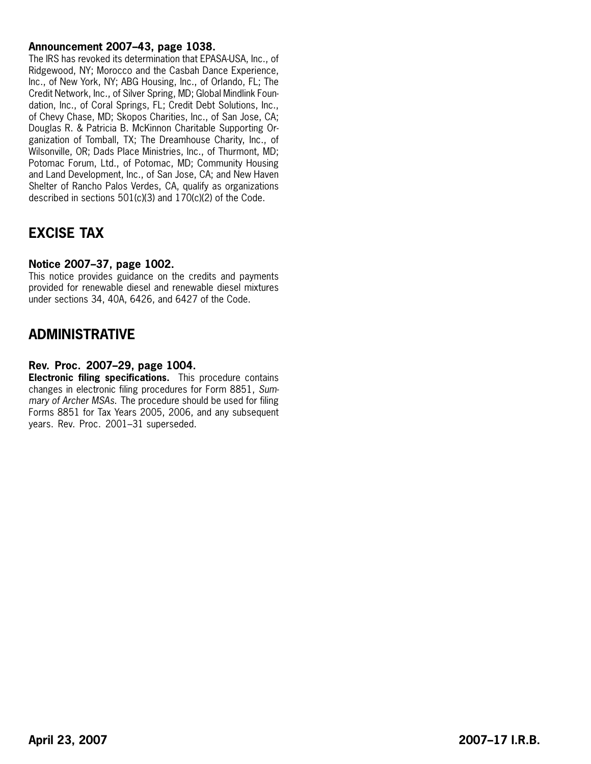## **Announcement 2007–43, page [1038](#page-52-0).**

The IRS has revoked its determination that EPASA-USA, Inc., of Ridgewood, NY; Morocco and the Casbah Dance Experience, Inc., of New York, NY; ABG Housing, Inc., of Orlando, FL; The Credit Network, Inc., of Silver Spring, MD; Global Mindlink Foundation, Inc., of Coral Springs, FL; Credit Debt Solutions, Inc., of Chevy Chase, MD; Skopos Charities, Inc., of San Jose, CA; Douglas R. & Patricia B. McKinnon Charitable Supporting Organization of Tomball, TX; The Dreamhouse Charity, Inc., of Wilsonville, OR; Dads Place Ministries, Inc., of Thurmont, MD; Potomac Forum, Ltd., of Potomac, MD; Community Housing and Land Development, Inc., of San Jose, CA; and New Haven Shelter of Rancho Palos Verdes, CA, qualify as organizations described in sections 501(c)(3) and 170(c)(2) of the Code.

## **EXCISE TAX**

## **Notice 2007–37, page [1002](#page-16-0).**

This notice provides guidance on the credits and payments provided for renewable diesel and renewable diesel mixtures under sections 34, 40A, 6426, and 6427 of the Code.

## **ADMINISTRATIVE**

## **Rev. Proc. 2007–29, page [1004.](#page-18-0)**

**Electronic filing specifications.** This procedure contains changes in electronic filing procedures for Form 8851, *Summary of Archer MSAs*. The procedure should be used for filing Forms 8851 for Tax Years 2005, 2006, and any subsequent years. Rev. Proc. 2001–31 superseded.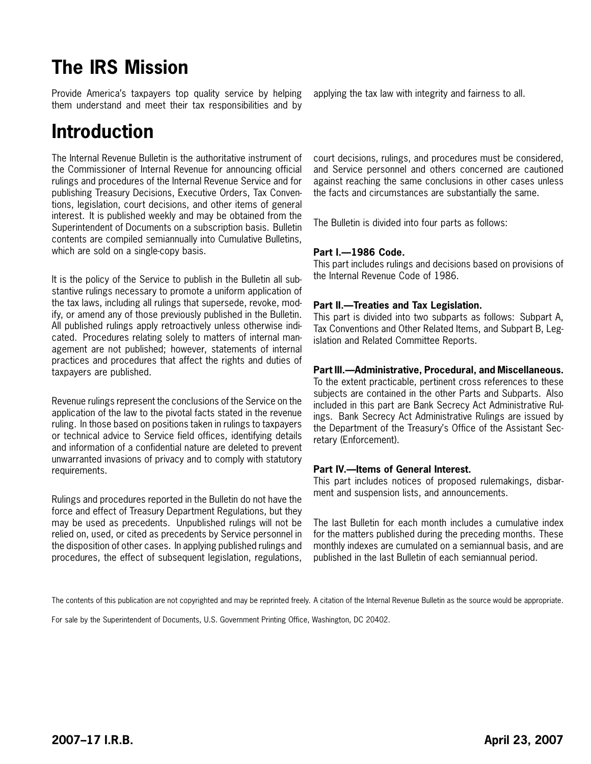# **The IRS Mission**

Provide America's taxpayers top quality service by helping them understand and meet their tax responsibilities and by

# **Introduction**

The Internal Revenue Bulletin is the authoritative instrument of the Commissioner of Internal Revenue for announcing official rulings and procedures of the Internal Revenue Service and for publishing Treasury Decisions, Executive Orders, Tax Conventions, legislation, court decisions, and other items of general interest. It is published weekly and may be obtained from the Superintendent of Documents on a subscription basis. Bulletin contents are compiled semiannually into Cumulative Bulletins, which are sold on a single-copy basis.

It is the policy of the Service to publish in the Bulletin all substantive rulings necessary to promote a uniform application of the tax laws, including all rulings that supersede, revoke, modify, or amend any of those previously published in the Bulletin. All published rulings apply retroactively unless otherwise indicated. Procedures relating solely to matters of internal management are not published; however, statements of internal practices and procedures that affect the rights and duties of taxpayers are published.

Revenue rulings represent the conclusions of the Service on the application of the law to the pivotal facts stated in the revenue ruling. In those based on positions taken in rulings to taxpayers or technical advice to Service field offices, identifying details and information of a confidential nature are deleted to prevent unwarranted invasions of privacy and to comply with statutory requirements.

Rulings and procedures reported in the Bulletin do not have the force and effect of Treasury Department Regulations, but they may be used as precedents. Unpublished rulings will not be relied on, used, or cited as precedents by Service personnel in the disposition of other cases. In applying published rulings and procedures, the effect of subsequent legislation, regulations,

applying the tax law with integrity and fairness to all.

court decisions, rulings, and procedures must be considered, and Service personnel and others concerned are cautioned against reaching the same conclusions in other cases unless the facts and circumstances are substantially the same.

The Bulletin is divided into four parts as follows:

#### **Part I.—1986 Code.**

This part includes rulings and decisions based on provisions of the Internal Revenue Code of 1986.

#### **Part II.—Treaties and Tax Legislation.**

This part is divided into two subparts as follows: Subpart A, Tax Conventions and Other Related Items, and Subpart B, Legislation and Related Committee Reports.

### **Part III.—Administrative, Procedural, and Miscellaneous.**

To the extent practicable, pertinent cross references to these subjects are contained in the other Parts and Subparts. Also included in this part are Bank Secrecy Act Administrative Rulings. Bank Secrecy Act Administrative Rulings are issued by the Department of the Treasury's Office of the Assistant Secretary (Enforcement).

#### **Part IV.—Items of General Interest.**

This part includes notices of proposed rulemakings, disbarment and suspension lists, and announcements.

The last Bulletin for each month includes a cumulative index for the matters published during the preceding months. These monthly indexes are cumulated on a semiannual basis, and are published in the last Bulletin of each semiannual period.

For sale by the Superintendent of Documents, U.S. Government Printing Office, Washington, DC 20402.

The contents of this publication are not copyrighted and may be reprinted freely. A citation of the Internal Revenue Bulletin as the source would be appropriate.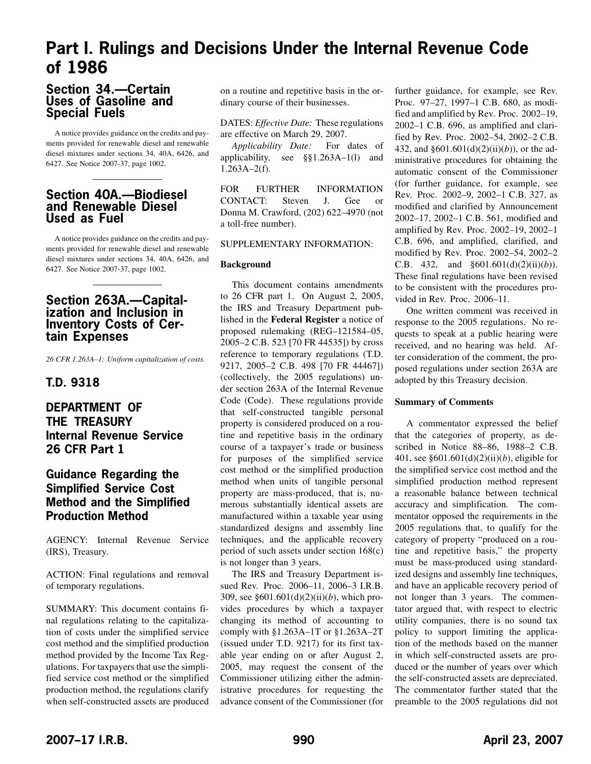# <span id="page-4-0"></span>**Part I. Rulings and Decisions Under the Internal Revenue Code of 1986**

## **Section 34.—Certain Uses of Gasoline and Special Fuels**

A notice provides guidance on the credits and payments provided for renewable diesel and renewable diesel mixtures under sections 34, 40A, 6426, and 6427. See Notice 2007-37, page [1002](#page-16-0).

## **Section 40A.—Biodiesel and Renewable Diesel Used as Fuel**

A notice provides guidance on the credits and payments provided for renewable diesel and renewable diesel mixtures under sections 34, 40A, 6426, and 6427. See Notice 2007-37, page [1002](#page-16-0).

## **Section 263A.—Capitalization and Inclusion in Inventory Costs of Certain Expenses**

*26 CFR 1.263A–1: Uniform capitalization of costs.*

## **T.D. 9318**

## **DEPARTMENT OF THE TREASURY Internal Revenue Service 26 CFR Part 1**

## **Guidance Regarding the Simplified Service Cost Method and the Simplified Production Method**

AGENCY: Internal Revenue Service (IRS), Treasury.

ACTION: Final regulations and removal of temporary regulations.

SUMMARY: This document contains final regulations relating to the capitalization of costs under the simplified service cost method and the simplified production method provided by the Income Tax Regulations. For taxpayers that use the simplified service cost method or the simplified production method, the regulations clarify when self-constructed assets are produced on a routine and repetitive basis in the ordinary course of their businesses.

DATES: *Effective Date:* These regulations are effective on March 29, 2007.

*Applicability Date:* For dates of applicability, see §§1.263A–1(l) and 1.263A–2(f).

FOR FURTHER INFORMATION CONTACT: Steven J. Gee Donna M. Crawford, (202) 622–4970 (not a toll-free number).

#### SUPPLEMENTARY INFORMATION:

#### **Background**

This document contains amendments to 26 CFR part 1. On August 2, 2005, the IRS and Treasury Department published in the **Federal Register** a notice of proposed rulemaking (REG–121584–05, 2005–2 C.B. 523 [70 FR 44535]) by cross reference to temporary regulations (T.D. 9217, 2005–2 C.B. 498 [70 FR 44467]) (collectively, the 2005 regulations) under section 263A of the Internal Revenue Code (Code). These regulations provide that self-constructed tangible personal property is considered produced on a routine and repetitive basis in the ordinary course of a taxpayer's trade or business for purposes of the simplified service cost method or the simplified production method when units of tangible personal property are mass-produced, that is, numerous substantially identical assets are manufactured within a taxable year using standardized designs and assembly line techniques, and the applicable recovery period of such assets under section 168(c) is not longer than 3 years.

The IRS and Treasury Department issued Rev. Proc. 2006–11, 2006–3 I.R.B. 309, see §601.601(d)(2)(ii)(*b*), which provides procedures by which a taxpayer changing its method of accounting to comply with §1.263A–1T or §1.263A–2T (issued under T.D. 9217) for its first taxable year ending on or after August 2, 2005, may request the consent of the Commissioner utilizing either the administrative procedures for requesting the advance consent of the Commissioner (for further guidance, for example, see Rev. Proc. 97–27, 1997–1 C.B. 680, as modified and amplified by Rev. Proc. 2002–19, 2002–1 C.B. 696, as amplified and clarified by Rev. Proc. 2002–54, 2002–2 C.B. 432, and §601.601(d)(2)(ii)(*b*)), or the administrative procedures for obtaining the automatic consent of the Commissioner (for further guidance, for example, see Rev. Proc. 2002–9, 2002–1 C.B. 327, as modified and clarified by Announcement 2002–17, 2002–1 C.B. 561, modified and amplified by Rev. Proc. 2002–19, 2002–1 C.B. 696, and amplified, clarified, and modified by Rev. Proc. 2002–54, 2002–2 C.B. 432, and  $§601.601(d)(2)(ii)(b)).$ These final regulations have been revised to be consistent with the procedures provided in Rev. Proc. 2006–11.

One written comment was received in response to the 2005 regulations. No requests to speak at a public hearing were received, and no hearing was held. After consideration of the comment, the proposed regulations under section 263A are adopted by this Treasury decision.

#### **Summary of Comments**

A commentator expressed the belief that the categories of property, as described in Notice 88–86, 1988–2 C.B. 401, see §601.601(d)(2)(ii)(*b*), eligible for the simplified service cost method and the simplified production method represent a reasonable balance between technical accuracy and simplification. The commentator opposed the requirements in the 2005 regulations that, to qualify for the category of property "produced on a routine and repetitive basis," the property must be mass-produced using standardized designs and assembly line techniques, and have an applicable recovery period of not longer than 3 years. The commentator argued that, with respect to electric utility companies, there is no sound tax policy to support limiting the application of the methods based on the manner in which self-constructed assets are produced or the number of years over which the self-constructed assets are depreciated. The commentator further stated that the preamble to the 2005 regulations did not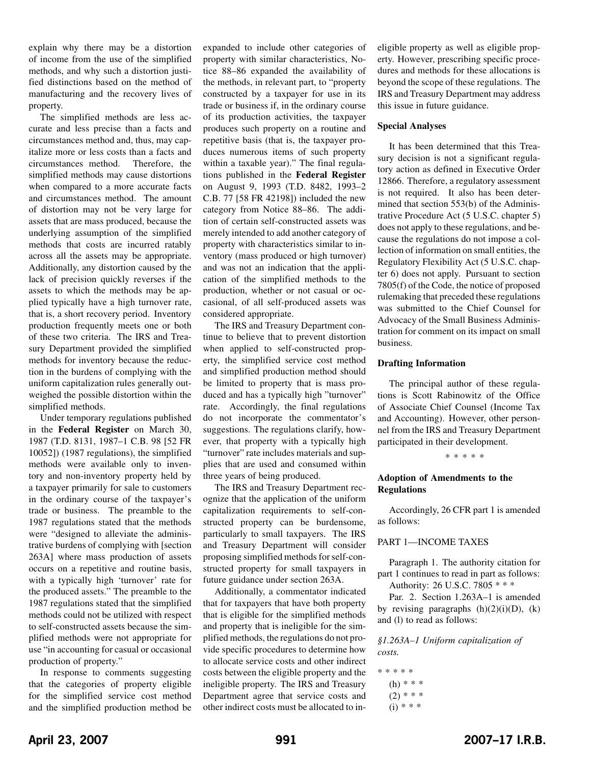explain why there may be a distortion of income from the use of the simplified methods, and why such a distortion justified distinctions based on the method of manufacturing and the recovery lives of property.

The simplified methods are less accurate and less precise than a facts and circumstances method and, thus, may capitalize more or less costs than a facts and circumstances method. Therefore, the simplified methods may cause distortions when compared to a more accurate facts and circumstances method. The amount of distortion may not be very large for assets that are mass produced, because the underlying assumption of the simplified methods that costs are incurred ratably across all the assets may be appropriate. Additionally, any distortion caused by the lack of precision quickly reverses if the assets to which the methods may be applied typically have a high turnover rate, that is, a short recovery period. Inventory production frequently meets one or both of these two criteria. The IRS and Treasury Department provided the simplified methods for inventory because the reduction in the burdens of complying with the uniform capitalization rules generally outweighed the possible distortion within the simplified methods.

Under temporary regulations published in the **Federal Register** on March 30, 1987 (T.D. 8131, 1987–1 C.B. 98 [52 FR 10052]) (1987 regulations), the simplified methods were available only to inventory and non-inventory property held by a taxpayer primarily for sale to customers in the ordinary course of the taxpayer's trade or business. The preamble to the 1987 regulations stated that the methods were "designed to alleviate the administrative burdens of complying with [section 263A] where mass production of assets occurs on a repetitive and routine basis, with a typically high 'turnover' rate for the produced assets." The preamble to the 1987 regulations stated that the simplified methods could not be utilized with respect to self-constructed assets because the simplified methods were not appropriate for use "in accounting for casual or occasional production of property."

In response to comments suggesting that the categories of property eligible for the simplified service cost method and the simplified production method be

expanded to include other categories of property with similar characteristics, Notice 88–86 expanded the availability of the methods, in relevant part, to "property constructed by a taxpayer for use in its trade or business if, in the ordinary course of its production activities, the taxpayer produces such property on a routine and repetitive basis (that is, the taxpayer produces numerous items of such property within a taxable year)." The final regulations published in the **Federal Register** on August 9, 1993 (T.D. 8482, 1993–2 C.B. 77 [58 FR 42198]) included the new category from Notice 88–86. The addition of certain self-constructed assets was merely intended to add another category of property with characteristics similar to inventory (mass produced or high turnover) and was not an indication that the application of the simplified methods to the production, whether or not casual or occasional, of all self-produced assets was considered appropriate.

The IRS and Treasury Department continue to believe that to prevent distortion when applied to self-constructed property, the simplified service cost method and simplified production method should be limited to property that is mass produced and has a typically high "turnover" rate. Accordingly, the final regulations do not incorporate the commentator's suggestions. The regulations clarify, however, that property with a typically high "turnover" rate includes materials and supplies that are used and consumed within three years of being produced.

The IRS and Treasury Department recognize that the application of the uniform capitalization requirements to self-constructed property can be burdensome, particularly to small taxpayers. The IRS and Treasury Department will consider proposing simplified methods for self-constructed property for small taxpayers in future guidance under section 263A.

Additionally, a commentator indicated that for taxpayers that have both property that is eligible for the simplified methods and property that is ineligible for the simplified methods, the regulations do not provide specific procedures to determine how to allocate service costs and other indirect costs between the eligible property and the ineligible property. The IRS and Treasury Department agree that service costs and other indirect costs must be allocated to ineligible property as well as eligible property. However, prescribing specific procedures and methods for these allocations is beyond the scope of these regulations. The IRS and Treasury Department may address this issue in future guidance.

#### **Special Analyses**

It has been determined that this Treasury decision is not a significant regulatory action as defined in Executive Order 12866. Therefore, a regulatory assessment is not required. It also has been determined that section 553(b) of the Administrative Procedure Act (5 U.S.C. chapter 5) does not apply to these regulations, and because the regulations do not impose a collection of information on small entities, the Regulatory Flexibility Act (5 U.S.C. chapter 6) does not apply. Pursuant to section 7805(f) of the Code, the notice of proposed rulemaking that preceded these regulations was submitted to the Chief Counsel for Advocacy of the Small Business Administration for comment on its impact on small business.

#### **Drafting Information**

The principal author of these regulations is Scott Rabinowitz of the Office of Associate Chief Counsel (Income Tax and Accounting). However, other personnel from the IRS and Treasury Department participated in their development.

#### \*\*\*\*\*

#### **Adoption of Amendments to the Regulations**

Accordingly, 26 CFR part 1 is amended as follows:

#### PART 1—INCOME TAXES

Paragraph 1. The authority citation for part 1 continues to read in part as follows: Authority: 26 U.S.C. 7805 \* \* \*

Par. 2. Section 1.263A–1 is amended by revising paragraphs  $(h)(2)(i)(D)$ ,  $(k)$ and (l) to read as follows:

*§1.263A–1 Uniform capitalization of costs.*

\*\*\*\*\* (h) \* \* \*  $(2)$  \* \* \*  $(i) * * *$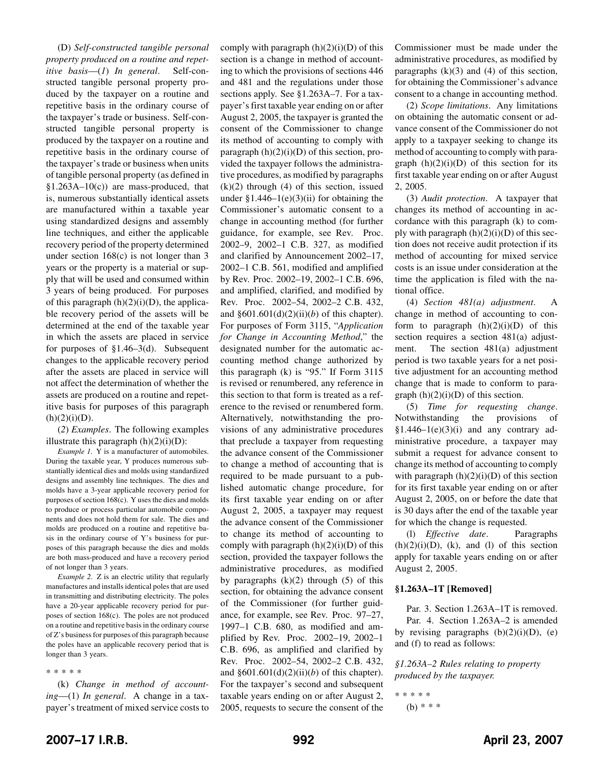(D) *Self-constructed tangible personal property produced on a routine and repetitive basis*—(*1*) *In general*. Self-constructed tangible personal property produced by the taxpayer on a routine and repetitive basis in the ordinary course of the taxpayer's trade or business. Self-constructed tangible personal property is produced by the taxpayer on a routine and repetitive basis in the ordinary course of the taxpayer's trade or business when units of tangible personal property (as defined in  $§1.263A-10(c)$  are mass-produced, that is, numerous substantially identical assets are manufactured within a taxable year using standardized designs and assembly line techniques, and either the applicable recovery period of the property determined under section 168(c) is not longer than 3 years or the property is a material or supply that will be used and consumed within 3 years of being produced. For purposes of this paragraph  $(h)(2)(i)(D)$ , the applicable recovery period of the assets will be determined at the end of the taxable year in which the assets are placed in service for purposes of §1.46–3(d). Subsequent changes to the applicable recovery period after the assets are placed in service will not affect the determination of whether the assets are produced on a routine and repetitive basis for purposes of this paragraph  $(h)(2)(i)(D)$ .

(*2*) *Examples*. The following examples illustrate this paragraph  $(h)(2)(i)(D)$ :

*Example 1*. Y is a manufacturer of automobiles. During the taxable year, Y produces numerous substantially identical dies and molds using standardized designs and assembly line techniques. The dies and molds have a 3-year applicable recovery period for purposes of section 168(c). Y uses the dies and molds to produce or process particular automobile components and does not hold them for sale. The dies and molds are produced on a routine and repetitive basis in the ordinary course of Y's business for purposes of this paragraph because the dies and molds are both mass-produced and have a recovery period of not longer than 3 years.

*Example 2*. Z is an electric utility that regularly manufactures and installs identical poles that are used in transmitting and distributing electricity. The poles have a 20-year applicable recovery period for purposes of section 168(c). The poles are not produced on a routine and repetitive basis in the ordinary course of Z's business for purposes of this paragraph because the poles have an applicable recovery period that is longer than 3 years.

#### \*\*\*\*\*

(k) *Change in method of accounting*—(1) *In general*. A change in a taxpayer's treatment of mixed service costs to

comply with paragraph  $(h)(2)(i)(D)$  of this section is a change in method of accounting to which the provisions of sections 446 and 481 and the regulations under those sections apply. See §1.263A–7. For a taxpayer's first taxable year ending on or after August 2, 2005, the taxpayer is granted the consent of the Commissioner to change its method of accounting to comply with paragraph (h)(2)(i)(D) of this section, provided the taxpayer follows the administrative procedures, as modified by paragraphs  $(k)(2)$  through  $(4)$  of this section, issued under  $$1.446-1(e)(3)(ii)$  for obtaining the Commissioner's automatic consent to a change in accounting method (for further guidance, for example, see Rev. Proc. 2002–9, 2002–1 C.B. 327, as modified and clarified by Announcement 2002–17, 2002–1 C.B. 561, modified and amplified by Rev. Proc. 2002–19, 2002–1 C.B. 696, and amplified, clarified, and modified by Rev. Proc. 2002–54, 2002–2 C.B. 432, and  $§601.601(d)(2)(ii)(b)$  of this chapter). For purposes of Form 3115, "*Application for Change in Accounting Method*," the designated number for the automatic accounting method change authorized by this paragraph (k) is "95." If Form 3115 is revised or renumbered, any reference in this section to that form is treated as a reference to the revised or renumbered form. Alternatively, notwithstanding the provisions of any administrative procedures that preclude a taxpayer from requesting the advance consent of the Commissioner to change a method of accounting that is required to be made pursuant to a published automatic change procedure, for its first taxable year ending on or after August 2, 2005, a taxpayer may request the advance consent of the Commissioner to change its method of accounting to comply with paragraph  $(h)(2)(i)(D)$  of this section, provided the taxpayer follows the administrative procedures, as modified by paragraphs  $(k)(2)$  through  $(5)$  of this section, for obtaining the advance consent of the Commissioner (for further guidance, for example, see Rev. Proc. 97–27, 1997–1 C.B. 680, as modified and amplified by Rev. Proc. 2002–19, 2002–1 C.B. 696, as amplified and clarified by Rev. Proc. 2002–54, 2002–2 C.B. 432, and  $§601.601(d)(2)(ii)(b)$  of this chapter). For the taxpayer's second and subsequent taxable years ending on or after August 2, 2005, requests to secure the consent of the Commissioner must be made under the administrative procedures, as modified by paragraphs  $(k)(3)$  and  $(4)$  of this section, for obtaining the Commissioner's advance consent to a change in accounting method.

(2) *Scope limitations*. Any limitations on obtaining the automatic consent or advance consent of the Commissioner do not apply to a taxpayer seeking to change its method of accounting to comply with paragraph  $(h)(2)(i)(D)$  of this section for its first taxable year ending on or after August 2, 2005.

(3) *Audit protection*. A taxpayer that changes its method of accounting in accordance with this paragraph (k) to comply with paragraph  $(h)(2)(i)(D)$  of this section does not receive audit protection if its method of accounting for mixed service costs is an issue under consideration at the time the application is filed with the national office.

(4) *Section 481(a) adjustment*. A change in method of accounting to conform to paragraph  $(h)(2)(i)(D)$  of this section requires a section 481(a) adjustment. The section 481(a) adjustment period is two taxable years for a net positive adjustment for an accounting method change that is made to conform to paragraph  $(h)(2)(i)(D)$  of this section.

(5) *Time for requesting change*. Notwithstanding the provisions of  $§1.446-1(e)(3)(i)$  and any contrary administrative procedure, a taxpayer may submit a request for advance consent to change its method of accounting to comply with paragraph  $(h)(2)(i)(D)$  of this section for its first taxable year ending on or after August 2, 2005, on or before the date that is 30 days after the end of the taxable year for which the change is requested.

(l) *Effective date*. Paragraphs  $(h)(2)(i)(D)$ ,  $(k)$ , and  $(l)$  of this section apply for taxable years ending on or after August 2, 2005.

#### **§1.263A–1T [Removed]**

Par. 3. Section 1.263A–1T is removed. Par. 4. Section 1.263A–2 is amended by revising paragraphs  $(b)(2)(i)(D)$ ,  $(e)$ and (f) to read as follows:

*§1.263A–2 Rules relating to property produced by the taxpayer.*

\*\*\*\*\* (b) \* \* \*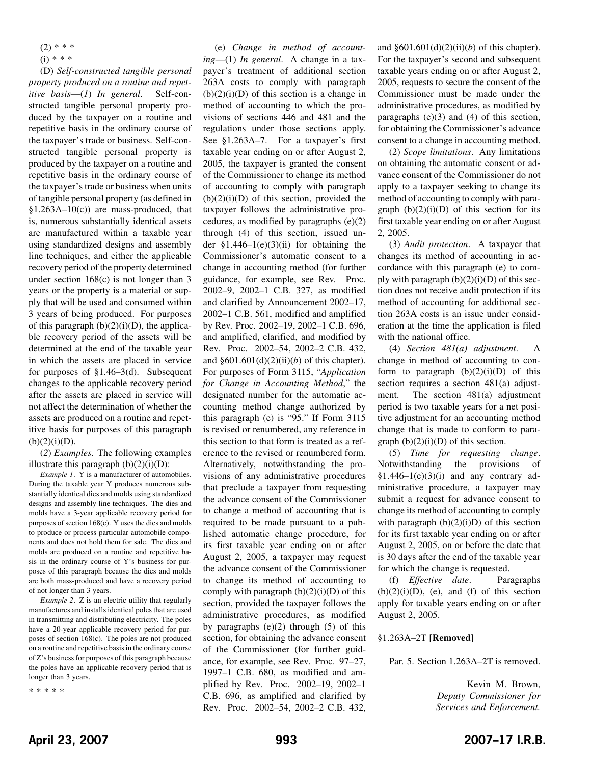$(2)$  \* \* \*

(D) *Self-constructed tangible personal property produced on a routine and repetitive basis*—(*1*) *In general*. Self-constructed tangible personal property produced by the taxpayer on a routine and repetitive basis in the ordinary course of the taxpayer's trade or business. Self-constructed tangible personal property is produced by the taxpayer on a routine and repetitive basis in the ordinary course of the taxpayer's trade or business when units of tangible personal property (as defined in §1.263A–10(c)) are mass-produced, that is, numerous substantially identical assets are manufactured within a taxable year using standardized designs and assembly line techniques, and either the applicable recovery period of the property determined under section 168(c) is not longer than 3 years or the property is a material or supply that will be used and consumed within 3 years of being produced. For purposes of this paragraph  $(b)(2)(i)(D)$ , the applicable recovery period of the assets will be determined at the end of the taxable year in which the assets are placed in service for purposes of §1.46–3(d). Subsequent changes to the applicable recovery period after the assets are placed in service will not affect the determination of whether the assets are produced on a routine and repetitive basis for purposes of this paragraph  $(b)(2)(i)(D)$ .

(*2*) *Examples*. The following examples illustrate this paragraph  $(b)(2)(i)(D)$ :

*Example 1*. Y is a manufacturer of automobiles. During the taxable year Y produces numerous substantially identical dies and molds using standardized designs and assembly line techniques. The dies and molds have a 3-year applicable recovery period for purposes of section 168(c). Y uses the dies and molds to produce or process particular automobile components and does not hold them for sale. The dies and molds are produced on a routine and repetitive basis in the ordinary course of Y's business for purposes of this paragraph because the dies and molds are both mass-produced and have a recovery period of not longer than 3 years.

*Example 2*. Z is an electric utility that regularly manufactures and installs identical poles that are used in transmitting and distributing electricity. The poles have a 20-year applicable recovery period for purposes of section 168(c). The poles are not produced on a routine and repetitive basis in the ordinary course of Z's business for purposes of this paragraph because the poles have an applicable recovery period that is longer than 3 years.

\*\*\*\*\*

(e) *Change in method of accounting*—(1) *In general*. A change in a taxpayer's treatment of additional section 263A costs to comply with paragraph  $(b)(2)(i)(D)$  of this section is a change in method of accounting to which the provisions of sections 446 and 481 and the regulations under those sections apply. See §1.263A–7. For a taxpayer's first taxable year ending on or after August 2, 2005, the taxpayer is granted the consent of the Commissioner to change its method of accounting to comply with paragraph  $(b)(2)(i)(D)$  of this section, provided the taxpayer follows the administrative procedures, as modified by paragraphs (e)(2) through (4) of this section, issued under  $$1.446-1(e)(3)(ii)$  for obtaining the Commissioner's automatic consent to a change in accounting method (for further guidance, for example, see Rev. Proc. 2002–9, 2002–1 C.B. 327, as modified and clarified by Announcement 2002–17, 2002–1 C.B. 561, modified and amplified by Rev. Proc. 2002–19, 2002–1 C.B. 696, and amplified, clarified, and modified by Rev. Proc. 2002–54, 2002–2 C.B. 432, and  $§601.601(d)(2)(ii)(b)$  of this chapter). For purposes of Form 3115, "*Application for Change in Accounting Method*," the designated number for the automatic accounting method change authorized by this paragraph (e) is "95." If Form 3115 is revised or renumbered, any reference in this section to that form is treated as a reference to the revised or renumbered form. Alternatively, notwithstanding the provisions of any administrative procedures that preclude a taxpayer from requesting the advance consent of the Commissioner to change a method of accounting that is required to be made pursuant to a published automatic change procedure, for its first taxable year ending on or after August 2, 2005, a taxpayer may request the advance consent of the Commissioner to change its method of accounting to comply with paragraph  $(b)(2)(i)(D)$  of this section, provided the taxpayer follows the administrative procedures, as modified by paragraphs (e)(2) through (5) of this section, for obtaining the advance consent of the Commissioner (for further guidance, for example, see Rev. Proc. 97–27, 1997–1 C.B. 680, as modified and amplified by Rev. Proc. 2002–19, 2002–1

and  $§601.601(d)(2)(ii)(b)$  of this chapter). For the taxpayer's second and subsequent taxable years ending on or after August 2, 2005, requests to secure the consent of the Commissioner must be made under the administrative procedures, as modified by paragraphs (e)(3) and (4) of this section, for obtaining the Commissioner's advance consent to a change in accounting method.

(2) *Scope limitations*. Any limitations on obtaining the automatic consent or advance consent of the Commissioner do not apply to a taxpayer seeking to change its method of accounting to comply with paragraph  $(b)(2)(i)(D)$  of this section for its first taxable year ending on or after August 2, 2005.

(3) *Audit protection*. A taxpayer that changes its method of accounting in accordance with this paragraph (e) to comply with paragraph  $(b)(2)(i)(D)$  of this section does not receive audit protection if its method of accounting for additional section 263A costs is an issue under consideration at the time the application is filed with the national office.

(4) *Section 481(a) adjustment*. A change in method of accounting to conform to paragraph  $(b)(2)(i)(D)$  of this section requires a section 481(a) adjustment. The section 481(a) adjustment period is two taxable years for a net positive adjustment for an accounting method change that is made to conform to paragraph  $(b)(2)(i)(D)$  of this section.

(5) *Time for requesting change*. Notwithstanding the provisions of  $§1.446-1(e)(3)(i)$  and any contrary administrative procedure, a taxpayer may submit a request for advance consent to change its method of accounting to comply with paragraph  $(b)(2)(i)D$  of this section for its first taxable year ending on or after August 2, 2005, on or before the date that is 30 days after the end of the taxable year for which the change is requested.

(f) *Effective date*. Paragraphs  $(b)(2)(i)(D)$ , (e), and (f) of this section apply for taxable years ending on or after August 2, 2005.

#### §1.263A–2T **[Removed]**

Par. 5. Section 1.263A–2T is removed.

Kevin M. Brown, *Deputy Commissioner for Services and Enforcement.*

C.B. 696, as amplified and clarified by Rev. Proc. 2002–54, 2002–2 C.B. 432,

 $(i) * * *$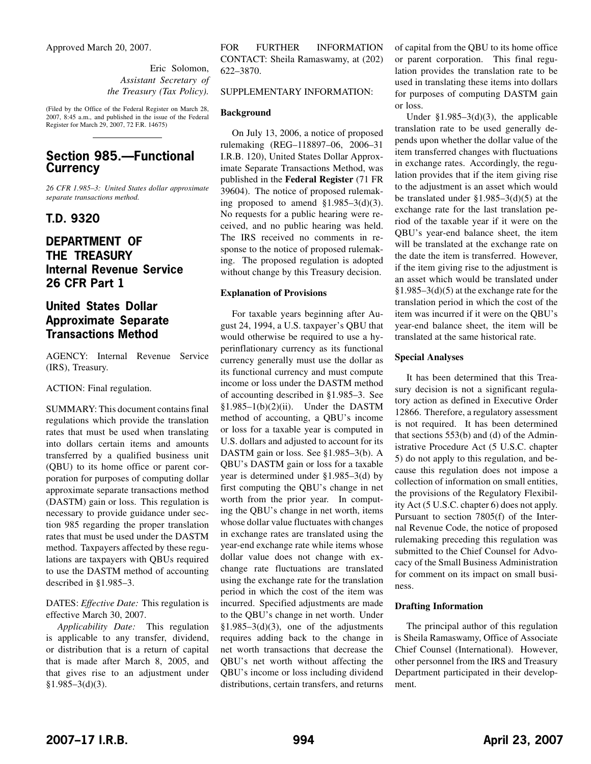<span id="page-8-0"></span>Approved March 20, 2007.

Eric Solomon, *Assistant Secretary of the Treasury (Tax Policy).*

(Filed by the Office of the Federal Register on March 28, 2007, 8:45 a.m., and published in the issue of the Federal Register for March 29, 2007, 72 F.R. 14675)

## **Section 985.—Functional Currency**

*26 CFR 1.985–3: United States dollar approximate separate transactions method.*

### **T.D. 9320**

## **DEPARTMENT OF THE TREASURY Internal Revenue Service 26 CFR Part 1**

## **United States Dollar Approximate Separate Transactions Method**

AGENCY: Internal Revenue Service (IRS), Treasury.

ACTION: Final regulation.

SUMMARY: This document contains final regulations which provide the translation rates that must be used when translating into dollars certain items and amounts transferred by a qualified business unit (QBU) to its home office or parent corporation for purposes of computing dollar approximate separate transactions method (DASTM) gain or loss. This regulation is necessary to provide guidance under section 985 regarding the proper translation rates that must be used under the DASTM method. Taxpayers affected by these regulations are taxpayers with QBUs required to use the DASTM method of accounting described in §1.985–3.

DATES: *Effective Date:* This regulation is effective March 30, 2007.

*Applicability Date:* This regulation is applicable to any transfer, dividend, or distribution that is a return of capital that is made after March 8, 2005, and that gives rise to an adjustment under  $§1.985-3(d)(3).$ 

FOR FURTHER INFORMATION CONTACT: Sheila Ramaswamy, at (202) 622–3870.

#### SUPPLEMENTARY INFORMATION:

#### **Background**

On July 13, 2006, a notice of proposed rulemaking (REG–118897–06, 2006–31 I.R.B. 120), United States Dollar Approximate Separate Transactions Method, was published in the **Federal Register** (71 FR 39604). The notice of proposed rulemaking proposed to amend  $$1.985-3(d)(3)$ . No requests for a public hearing were received, and no public hearing was held. The IRS received no comments in response to the notice of proposed rulemaking. The proposed regulation is adopted without change by this Treasury decision.

#### **Explanation of Provisions**

For taxable years beginning after August 24, 1994, a U.S. taxpayer's QBU that would otherwise be required to use a hyperinflationary currency as its functional currency generally must use the dollar as its functional currency and must compute income or loss under the DASTM method of accounting described in §1.985–3. See  $§1.985-1(b)(2)(ii)$ . Under the DASTM method of accounting, a QBU's income or loss for a taxable year is computed in U.S. dollars and adjusted to account for its DASTM gain or loss. See §1.985–3(b). A QBU's DASTM gain or loss for a taxable year is determined under §1.985–3(d) by first computing the QBU's change in net worth from the prior year. In computing the QBU's change in net worth, items whose dollar value fluctuates with changes in exchange rates are translated using the year-end exchange rate while items whose dollar value does not change with exchange rate fluctuations are translated using the exchange rate for the translation period in which the cost of the item was incurred. Specified adjustments are made to the QBU's change in net worth. Under  $§1.985-3(d)(3)$ , one of the adjustments requires adding back to the change in net worth transactions that decrease the QBU's net worth without affecting the QBU's income or loss including dividend distributions, certain transfers, and returns of capital from the QBU to its home office or parent corporation. This final regulation provides the translation rate to be used in translating these items into dollars for purposes of computing DASTM gain or loss.

Under  $$1.985-3(d)(3)$ , the applicable translation rate to be used generally depends upon whether the dollar value of the item transferred changes with fluctuations in exchange rates. Accordingly, the regulation provides that if the item giving rise to the adjustment is an asset which would be translated under §1.985–3(d)(5) at the exchange rate for the last translation period of the taxable year if it were on the QBU's year-end balance sheet, the item will be translated at the exchange rate on the date the item is transferred. However, if the item giving rise to the adjustment is an asset which would be translated under  $§1.985-3(d)(5)$  at the exchange rate for the translation period in which the cost of the item was incurred if it were on the QBU's year-end balance sheet, the item will be translated at the same historical rate.

#### **Special Analyses**

It has been determined that this Treasury decision is not a significant regulatory action as defined in Executive Order 12866. Therefore, a regulatory assessment is not required. It has been determined that sections 553(b) and (d) of the Administrative Procedure Act (5 U.S.C. chapter 5) do not apply to this regulation, and because this regulation does not impose a collection of information on small entities, the provisions of the Regulatory Flexibility Act (5 U.S.C. chapter 6) does not apply. Pursuant to section 7805(f) of the Internal Revenue Code, the notice of proposed rulemaking preceding this regulation was submitted to the Chief Counsel for Advocacy of the Small Business Administration for comment on its impact on small business.

#### **Drafting Information**

The principal author of this regulation is Sheila Ramaswamy, Office of Associate Chief Counsel (International). However, other personnel from the IRS and Treasury Department participated in their development.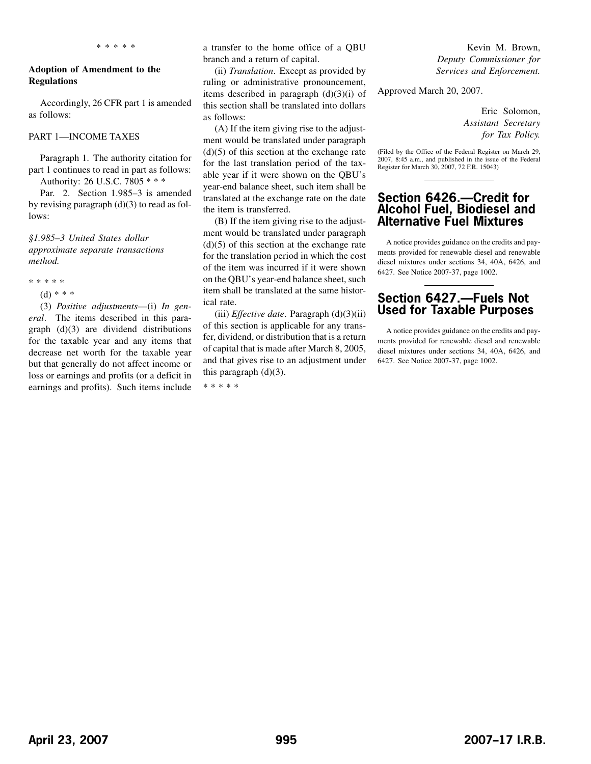#### **Adoption of Amendment to the Regulations**

Accordingly, 26 CFR part 1 is amended as follows:

#### PART 1—INCOME TAXES

Paragraph 1. The authority citation for part 1 continues to read in part as follows:

Authority: 26 U.S.C. 7805 \* \* \*

Par. 2. Section 1.985–3 is amended by revising paragraph (d)(3) to read as follows:

*§1.985–3 United States dollar approximate separate transactions method.*

\*\*\*\*\*

(d) \* \* \*

(3) *Positive adjustments*—(i) *In general*. The items described in this paragraph (d)(3) are dividend distributions for the taxable year and any items that decrease net worth for the taxable year but that generally do not affect income or loss or earnings and profits (or a deficit in earnings and profits). Such items include

a transfer to the home office of a QBU branch and a return of capital.

(ii) *Translation*. Except as provided by ruling or administrative pronouncement, items described in paragraph (d)(3)(i) of this section shall be translated into dollars as follows:

(A) If the item giving rise to the adjustment would be translated under paragraph  $(d)(5)$  of this section at the exchange rate for the last translation period of the taxable year if it were shown on the QBU's year-end balance sheet, such item shall be translated at the exchange rate on the date the item is transferred.

(B) If the item giving rise to the adjustment would be translated under paragraph  $(d)(5)$  of this section at the exchange rate for the translation period in which the cost of the item was incurred if it were shown on the QBU's year-end balance sheet, such item shall be translated at the same historical rate.

(iii) *Effective date*. Paragraph (d)(3)(ii) of this section is applicable for any transfer, dividend, or distribution that is a return of capital that is made after March 8, 2005, and that gives rise to an adjustment under this paragraph  $(d)(3)$ .

\*\*\*\*\*

Kevin M. Brown, *Deputy Commissioner for Services and Enforcement.*

Approved March 20, 2007.

Eric Solomon, *Assistant Secretary for Tax Policy.*

(Filed by the Office of the Federal Register on March 29, 2007, 8:45 a.m., and published in the issue of the Federal Register for March 30, 2007, 72 F.R. 15043)

## **Section 6426.—Credit for Alcohol Fuel, Biodiesel and Alternative Fuel Mixtures**

A notice provides guidance on the credits and payments provided for renewable diesel and renewable diesel mixtures under sections 34, 40A, 6426, and 6427. See Notice 2007-37, page [1002.](#page-16-0)

## **Section 6427.—Fuels Not Used for Taxable Purposes**

A notice provides guidance on the credits and payments provided for renewable diesel and renewable diesel mixtures under sections 34, 40A, 6426, and 6427. See Notice 2007-37, page [1002.](#page-16-0)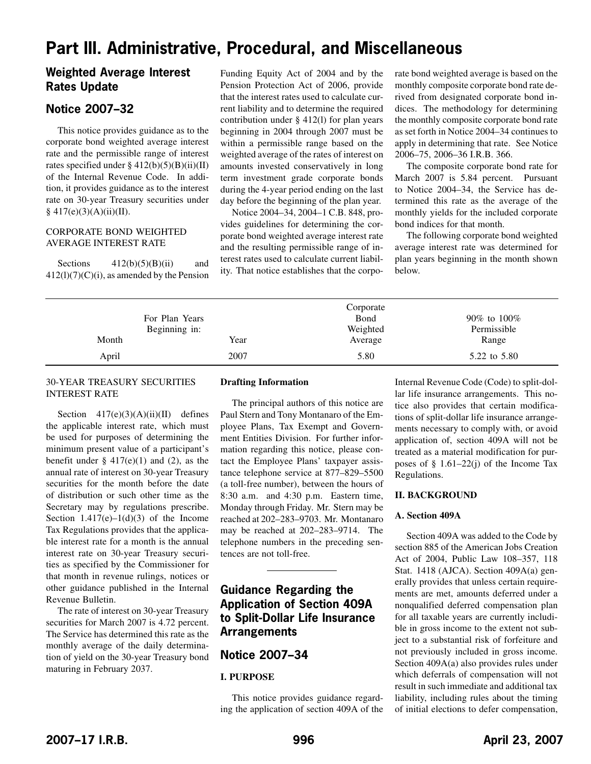# <span id="page-10-0"></span>**Part III. Administrative, Procedural, and Miscellaneous**

## **Weighted Average Interest Rates Update**

## **Notice 2007–32**

This notice provides guidance as to the corporate bond weighted average interest rate and the permissible range of interest rates specified under  $\S 412(b)(5)(B)(ii)(II)$ of the Internal Revenue Code. In addition, it provides guidance as to the interest rate on 30-year Treasury securities under § 417(e)(3)(A)(ii)(II).

#### CORPORATE BOND WEIGHTED AVERAGE INTEREST RATE

Sections  $412(b)(5)(B)(ii)$  and  $412(l)(7)(C)(i)$ , as amended by the Pension Funding Equity Act of 2004 and by the Pension Protection Act of 2006, provide that the interest rates used to calculate current liability and to determine the required contribution under § 412(l) for plan years beginning in 2004 through 2007 must be within a permissible range based on the weighted average of the rates of interest on amounts invested conservatively in long term investment grade corporate bonds during the 4-year period ending on the last day before the beginning of the plan year.

Notice 2004–34, 2004–1 C.B. 848, provides guidelines for determining the corporate bond weighted average interest rate and the resulting permissible range of interest rates used to calculate current liability. That notice establishes that the corporate bond weighted average is based on the monthly composite corporate bond rate derived from designated corporate bond indices. The methodology for determining the monthly composite corporate bond rate as set forth in Notice 2004–34 continues to apply in determining that rate. See Notice 2006–75, 2006–36 I.R.B. 366.

The composite corporate bond rate for March 2007 is 5.84 percent. Pursuant to Notice 2004–34, the Service has determined this rate as the average of the monthly yields for the included corporate bond indices for that month.

The following corporate bond weighted average interest rate was determined for plan years beginning in the month shown below.

|               |                | Corporate |              |
|---------------|----------------|-----------|--------------|
|               | For Plan Years | Bond      | 90% to 100%  |
| Beginning in: |                | Weighted  | Permissible  |
| Month         | Year           | Average   | Range        |
| April         | 2007           | 5.80      | 5.22 to 5.80 |

#### 30-YEAR TREASURY SECURITIES INTEREST RATE

Section  $417(e)(3)(A)(ii)(II)$  defines the applicable interest rate, which must be used for purposes of determining the minimum present value of a participant's benefit under  $\S$  417(e)(1) and (2), as the annual rate of interest on 30-year Treasury securities for the month before the date of distribution or such other time as the Secretary may by regulations prescribe. Section  $1.417(e)-1(d)(3)$  of the Income Tax Regulations provides that the applicable interest rate for a month is the annual interest rate on 30-year Treasury securities as specified by the Commissioner for that month in revenue rulings, notices or other guidance published in the Internal Revenue Bulletin.

The rate of interest on 30-year Treasury securities for March 2007 is 4.72 percent. The Service has determined this rate as the monthly average of the daily determination of yield on the 30-year Treasury bond maturing in February 2037.

#### **Drafting Information**

The principal authors of this notice are Paul Stern and Tony Montanaro of the Employee Plans, Tax Exempt and Government Entities Division. For further information regarding this notice, please contact the Employee Plans' taxpayer assistance telephone service at 877–829–5500 (a toll-free number), between the hours of 8:30 a.m. and 4:30 p.m. Eastern time, Monday through Friday. Mr. Stern may be reached at 202–283–9703. Mr. Montanaro may be reached at 202–283–9714. The telephone numbers in the preceding sentences are not toll-free.

## **Guidance Regarding the Application of Section 409A to Split-Dollar Life Insurance Arrangements**

## **Notice 2007–34**

#### **I. PURPOSE**

This notice provides guidance regarding the application of section 409A of the Internal Revenue Code (Code) to split-dollar life insurance arrangements. This notice also provides that certain modifications of split-dollar life insurance arrangements necessary to comply with, or avoid application of, section 409A will not be treated as a material modification for purposes of  $\S$  1.61–22(j) of the Income Tax Regulations.

#### **II. BACKGROUND**

#### **A. Section 409A**

Section 409A was added to the Code by section 885 of the American Jobs Creation Act of 2004, Public Law 108–357, 118 Stat. 1418 (AJCA). Section 409A(a) generally provides that unless certain requirements are met, amounts deferred under a nonqualified deferred compensation plan for all taxable years are currently includible in gross income to the extent not subject to a substantial risk of forfeiture and not previously included in gross income. Section 409A(a) also provides rules under which deferrals of compensation will not result in such immediate and additional tax liability, including rules about the timing of initial elections to defer compensation,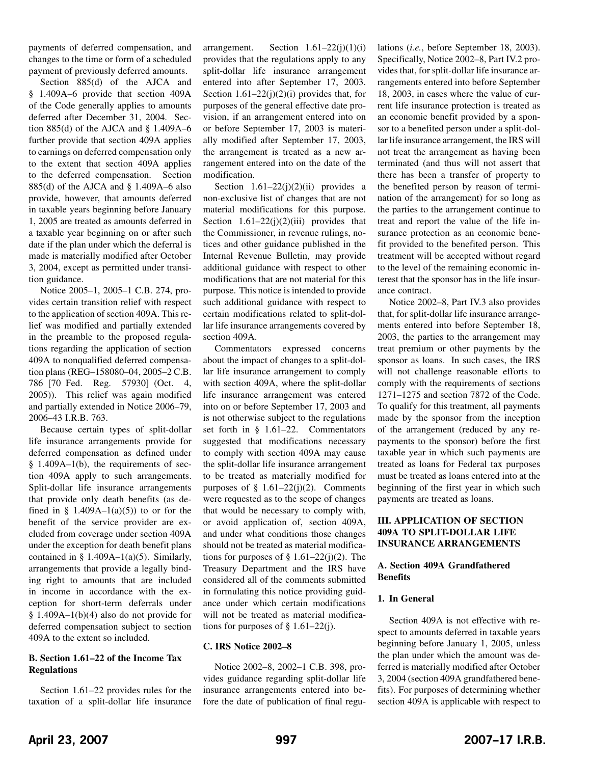payments of deferred compensation, and changes to the time or form of a scheduled payment of previously deferred amounts.

Section 885(d) of the AJCA and § 1.409A–6 provide that section 409A of the Code generally applies to amounts deferred after December 31, 2004. Section  $885(d)$  of the AJCA and § 1.409A–6 further provide that section 409A applies to earnings on deferred compensation only to the extent that section 409A applies to the deferred compensation. Section 885(d) of the AJCA and § 1.409A–6 also provide, however, that amounts deferred in taxable years beginning before January 1, 2005 are treated as amounts deferred in a taxable year beginning on or after such date if the plan under which the deferral is made is materially modified after October 3, 2004, except as permitted under transition guidance.

Notice 2005–1, 2005–1 C.B. 274, provides certain transition relief with respect to the application of section 409A. This relief was modified and partially extended in the preamble to the proposed regulations regarding the application of section 409A to nonqualified deferred compensation plans (REG–158080–04, 2005–2 C.B. 786 [70 Fed. Reg. 57930] (Oct. 4, 2005)). This relief was again modified and partially extended in Notice 2006–79, 2006–43 I.R.B. 763.

Because certain types of split-dollar life insurance arrangements provide for deferred compensation as defined under § 1.409A–1(b), the requirements of section 409A apply to such arrangements. Split-dollar life insurance arrangements that provide only death benefits (as defined in  $\S$  1.409A–1(a)(5)) to or for the benefit of the service provider are excluded from coverage under section 409A under the exception for death benefit plans contained in §  $1.409A-1(a)(5)$ . Similarly, arrangements that provide a legally binding right to amounts that are included in income in accordance with the exception for short-term deferrals under § 1.409A–1(b)(4) also do not provide for deferred compensation subject to section 409A to the extent so included.

#### **B. Section 1.61–22 of the Income Tax Regulations**

Section 1.61–22 provides rules for the taxation of a split-dollar life insurance

arrangement. Section  $1.61-22(j)(1)(i)$ provides that the regulations apply to any split-dollar life insurance arrangement entered into after September 17, 2003. Section  $1.61-22(j)(2)(i)$  provides that, for purposes of the general effective date provision, if an arrangement entered into on or before September 17, 2003 is materially modified after September 17, 2003, the arrangement is treated as a new arrangement entered into on the date of the modification.

Section  $1.61-22(j)(2)(ii)$  provides a non-exclusive list of changes that are not material modifications for this purpose. Section  $1.61-22(i)(2)(iii)$  provides that the Commissioner, in revenue rulings, notices and other guidance published in the Internal Revenue Bulletin, may provide additional guidance with respect to other modifications that are not material for this purpose. This notice is intended to provide such additional guidance with respect to certain modifications related to split-dollar life insurance arrangements covered by section 409A.

Commentators expressed concerns about the impact of changes to a split-dollar life insurance arrangement to comply with section 409A, where the split-dollar life insurance arrangement was entered into on or before September 17, 2003 and is not otherwise subject to the regulations set forth in § 1.61–22. Commentators suggested that modifications necessary to comply with section 409A may cause the split-dollar life insurance arrangement to be treated as materially modified for purposes of  $§$  1.61–22(j)(2). Comments were requested as to the scope of changes that would be necessary to comply with, or avoid application of, section 409A, and under what conditions those changes should not be treated as material modifications for purposes of  $\S$  1.61–22(j)(2). The Treasury Department and the IRS have considered all of the comments submitted in formulating this notice providing guidance under which certain modifications will not be treated as material modifications for purposes of  $\S$  1.61–22(j).

#### **C. IRS Notice 2002–8**

Notice 2002–8, 2002–1 C.B. 398, provides guidance regarding split-dollar life insurance arrangements entered into before the date of publication of final regulations (*i.e.*, before September 18, 2003). Specifically, Notice 2002–8, Part IV.2 provides that, for split-dollar life insurance arrangements entered into before September 18, 2003, in cases where the value of current life insurance protection is treated as an economic benefit provided by a sponsor to a benefited person under a split-dollar life insurance arrangement, the IRS will not treat the arrangement as having been terminated (and thus will not assert that there has been a transfer of property to the benefited person by reason of termination of the arrangement) for so long as the parties to the arrangement continue to treat and report the value of the life insurance protection as an economic benefit provided to the benefited person. This treatment will be accepted without regard to the level of the remaining economic interest that the sponsor has in the life insurance contract.

Notice 2002–8, Part IV.3 also provides that, for split-dollar life insurance arrangements entered into before September 18, 2003, the parties to the arrangement may treat premium or other payments by the sponsor as loans. In such cases, the IRS will not challenge reasonable efforts to comply with the requirements of sections 1271–1275 and section 7872 of the Code. To qualify for this treatment, all payments made by the sponsor from the inception of the arrangement (reduced by any repayments to the sponsor) before the first taxable year in which such payments are treated as loans for Federal tax purposes must be treated as loans entered into at the beginning of the first year in which such payments are treated as loans.

#### **III. APPLICATION OF SECTION 409A TO SPLIT-DOLLAR LIFE INSURANCE ARRANGEMENTS**

#### **A. Section 409A Grandfathered Benefits**

#### **1. In General**

Section 409A is not effective with respect to amounts deferred in taxable years beginning before January 1, 2005, unless the plan under which the amount was deferred is materially modified after October 3, 2004 (section 409A grandfathered benefits). For purposes of determining whether section 409A is applicable with respect to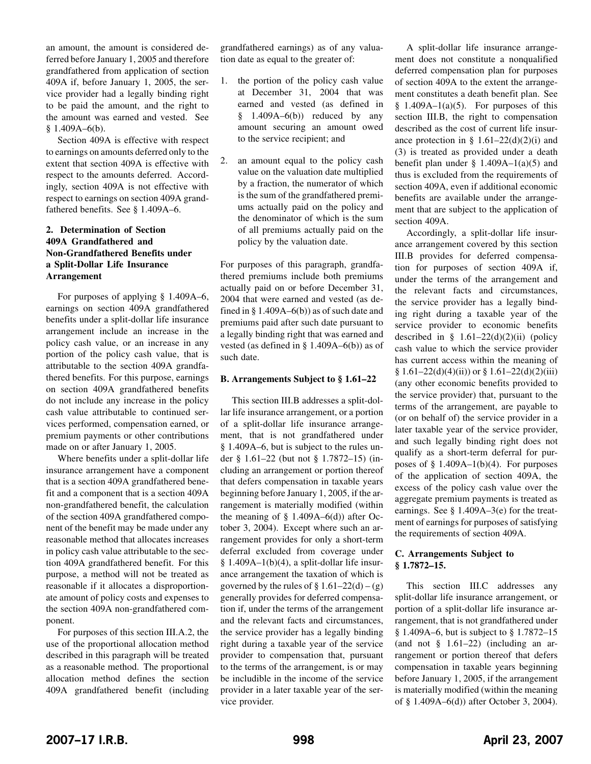an amount, the amount is considered deferred before January 1, 2005 and therefore grandfathered from application of section 409A if, before January 1, 2005, the service provider had a legally binding right to be paid the amount, and the right to the amount was earned and vested. See § 1.409A–6(b).

Section 409A is effective with respect to earnings on amounts deferred only to the extent that section 409A is effective with respect to the amounts deferred. Accordingly, section 409A is not effective with respect to earnings on section 409A grandfathered benefits. See § 1.409A–6.

#### **2. Determination of Section 409A Grandfathered and Non-Grandfathered Benefits under a Split-Dollar Life Insurance Arrangement**

For purposes of applying § 1.409A–6, earnings on section 409A grandfathered benefits under a split-dollar life insurance arrangement include an increase in the policy cash value, or an increase in any portion of the policy cash value, that is attributable to the section 409A grandfathered benefits. For this purpose, earnings on section 409A grandfathered benefits do not include any increase in the policy cash value attributable to continued services performed, compensation earned, or premium payments or other contributions made on or after January 1, 2005.

Where benefits under a split-dollar life insurance arrangement have a component that is a section 409A grandfathered benefit and a component that is a section 409A non-grandfathered benefit, the calculation of the section 409A grandfathered component of the benefit may be made under any reasonable method that allocates increases in policy cash value attributable to the section 409A grandfathered benefit. For this purpose, a method will not be treated as reasonable if it allocates a disproportionate amount of policy costs and expenses to the section 409A non-grandfathered component.

For purposes of this section III.A.2, the use of the proportional allocation method described in this paragraph will be treated as a reasonable method. The proportional allocation method defines the section 409A grandfathered benefit (including

grandfathered earnings) as of any valuation date as equal to the greater of:

- 1. the portion of the policy cash value at December 31, 2004 that was earned and vested (as defined in § 1.409A–6(b)) reduced by any amount securing an amount owed to the service recipient; and
- 2. an amount equal to the policy cash value on the valuation date multiplied by a fraction, the numerator of which is the sum of the grandfathered premiums actually paid on the policy and the denominator of which is the sum of all premiums actually paid on the policy by the valuation date.

For purposes of this paragraph, grandfathered premiums include both premiums actually paid on or before December 31, 2004 that were earned and vested (as defined in § 1.409A–6(b)) as of such date and premiums paid after such date pursuant to a legally binding right that was earned and vested (as defined in § 1.409A–6(b)) as of such date.

#### **B. Arrangements Subject to § 1.61–22**

This section III.B addresses a split-dollar life insurance arrangement, or a portion of a split-dollar life insurance arrangement, that is not grandfathered under § 1.409A–6, but is subject to the rules under § 1.61–22 (but not § 1.7872–15) (including an arrangement or portion thereof that defers compensation in taxable years beginning before January 1, 2005, if the arrangement is materially modified (within the meaning of  $\S$  1.409A–6(d)) after October 3, 2004). Except where such an arrangement provides for only a short-term deferral excluded from coverage under § 1.409A–1(b)(4), a split-dollar life insurance arrangement the taxation of which is governed by the rules of  $\S 1.61-22(d) - (g)$ generally provides for deferred compensation if, under the terms of the arrangement and the relevant facts and circumstances, the service provider has a legally binding right during a taxable year of the service provider to compensation that, pursuant to the terms of the arrangement, is or may be includible in the income of the service provider in a later taxable year of the service provider.

A split-dollar life insurance arrangement does not constitute a nonqualified deferred compensation plan for purposes of section 409A to the extent the arrangement constitutes a death benefit plan. See  $§ 1.409A-1(a)(5).$  For purposes of this section III.B, the right to compensation described as the cost of current life insurance protection in §  $1.61-22(d)(2)(i)$  and (3) is treated as provided under a death benefit plan under  $\S$  1.409A–1(a)(5) and thus is excluded from the requirements of section 409A, even if additional economic benefits are available under the arrangement that are subject to the application of section 409A.

Accordingly, a split-dollar life insurance arrangement covered by this section III.B provides for deferred compensation for purposes of section 409A if, under the terms of the arrangement and the relevant facts and circumstances, the service provider has a legally binding right during a taxable year of the service provider to economic benefits described in  $§$  1.61–22(d)(2)(ii) (policy cash value to which the service provider has current access within the meaning of §  $1.61-22(d)(4)(ii)$  or §  $1.61-22(d)(2)(iii)$ (any other economic benefits provided to the service provider) that, pursuant to the terms of the arrangement, are payable to (or on behalf of) the service provider in a later taxable year of the service provider, and such legally binding right does not qualify as a short-term deferral for purposes of  $\S$  1.409A–1(b)(4). For purposes of the application of section 409A, the excess of the policy cash value over the aggregate premium payments is treated as earnings. See § 1.409A–3(e) for the treatment of earnings for purposes of satisfying the requirements of section 409A.

#### **C. Arrangements Subject to § 1.7872–15.**

This section III.C addresses any split-dollar life insurance arrangement, or portion of a split-dollar life insurance arrangement, that is not grandfathered under § 1.409A–6, but is subject to § 1.7872–15 (and not  $\S$  1.61–22) (including an arrangement or portion thereof that defers compensation in taxable years beginning before January 1, 2005, if the arrangement is materially modified (within the meaning of § 1.409A–6(d)) after October 3, 2004).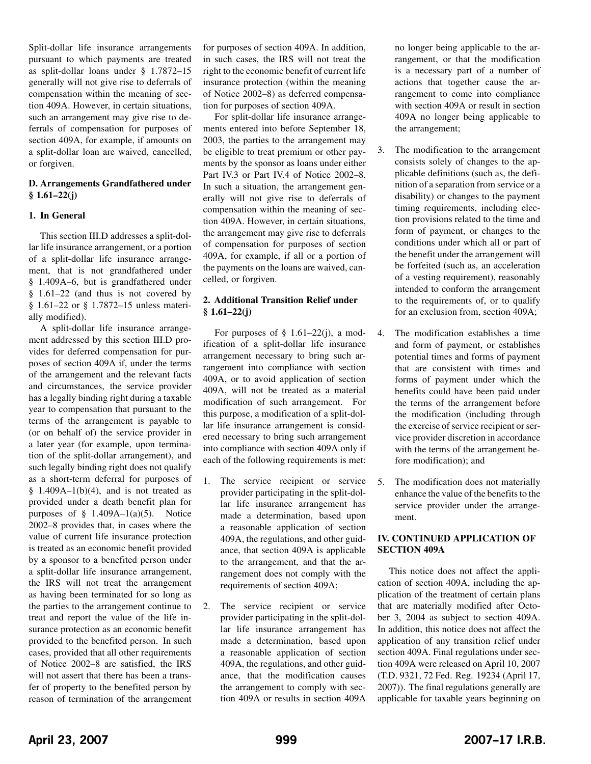Split-dollar life insurance arrangements pursuant to which payments are treated as split-dollar loans under § 1.7872–15 generally will not give rise to deferrals of compensation within the meaning of section 409A. However, in certain situations, such an arrangement may give rise to deferrals of compensation for purposes of section 409A, for example, if amounts on a split-dollar loan are waived, cancelled, or forgiven.

#### **D. Arrangements Grandfathered under § 1.61–22(j)**

#### **1. In General**

This section III.D addresses a split-dollar life insurance arrangement, or a portion of a split-dollar life insurance arrangement, that is not grandfathered under § 1.409A–6, but is grandfathered under § 1.61–22 (and thus is not covered by § 1.61–22 or § 1.7872–15 unless materially modified).

A split-dollar life insurance arrangement addressed by this section III.D provides for deferred compensation for purposes of section 409A if, under the terms of the arrangement and the relevant facts and circumstances, the service provider has a legally binding right during a taxable year to compensation that pursuant to the terms of the arrangement is payable to (or on behalf of) the service provider in a later year (for example, upon termination of the split-dollar arrangement), and such legally binding right does not qualify as a short-term deferral for purposes of  $§$  1.409A–1(b)(4), and is not treated as provided under a death benefit plan for purposes of  $§$  1.409A–1(a)(5). Notice 2002–8 provides that, in cases where the value of current life insurance protection is treated as an economic benefit provided by a sponsor to a benefited person under a split-dollar life insurance arrangement, the IRS will not treat the arrangement as having been terminated for so long as the parties to the arrangement continue to treat and report the value of the life insurance protection as an economic benefit provided to the benefited person. In such cases, provided that all other requirements of Notice 2002–8 are satisfied, the IRS will not assert that there has been a transfer of property to the benefited person by reason of termination of the arrangement for purposes of section 409A. In addition, in such cases, the IRS will not treat the right to the economic benefit of current life insurance protection (within the meaning of Notice 2002–8) as deferred compensation for purposes of section 409A.

For split-dollar life insurance arrangements entered into before September 18, 2003, the parties to the arrangement may be eligible to treat premium or other payments by the sponsor as loans under either Part IV.3 or Part IV.4 of Notice 2002–8. In such a situation, the arrangement generally will not give rise to deferrals of compensation within the meaning of section 409A. However, in certain situations, the arrangement may give rise to deferrals of compensation for purposes of section 409A, for example, if all or a portion of the payments on the loans are waived, cancelled, or forgiven.

#### **2. Additional Transition Relief under § 1.61–22(j)**

For purposes of  $\S$  1.61–22(j), a modification of a split-dollar life insurance arrangement necessary to bring such arrangement into compliance with section 409A, or to avoid application of section 409A, will not be treated as a material modification of such arrangement. For this purpose, a modification of a split-dollar life insurance arrangement is considered necessary to bring such arrangement into compliance with section 409A only if each of the following requirements is met:

- 1. The service recipient or service provider participating in the split-dollar life insurance arrangement has made a determination, based upon a reasonable application of section 409A, the regulations, and other guidance, that section 409A is applicable to the arrangement, and that the arrangement does not comply with the requirements of section 409A;
- 2. The service recipient or service provider participating in the split-dollar life insurance arrangement has made a determination, based upon a reasonable application of section 409A, the regulations, and other guidance, that the modification causes the arrangement to comply with section 409A or results in section 409A

no longer being applicable to the arrangement, or that the modification is a necessary part of a number of actions that together cause the arrangement to come into compliance with section 409A or result in section 409A no longer being applicable to the arrangement;

- 3. The modification to the arrangement consists solely of changes to the applicable definitions (such as, the definition of a separation from service or a disability) or changes to the payment timing requirements, including election provisions related to the time and form of payment, or changes to the conditions under which all or part of the benefit under the arrangement will be forfeited (such as, an acceleration of a vesting requirement), reasonably intended to conform the arrangement to the requirements of, or to qualify for an exclusion from, section 409A;
- 4. The modification establishes a time and form of payment, or establishes potential times and forms of payment that are consistent with times and forms of payment under which the benefits could have been paid under the terms of the arrangement before the modification (including through the exercise of service recipient or service provider discretion in accordance with the terms of the arrangement before modification); and
- 5. The modification does not materially enhance the value of the benefits to the service provider under the arrangement.

#### **IV. CONTINUED APPLICATION OF SECTION 409A**

This notice does not affect the application of section 409A, including the application of the treatment of certain plans that are materially modified after October 3, 2004 as subject to section 409A. In addition, this notice does not affect the application of any transition relief under section 409A. Final regulations under section 409A were released on April 10, 2007 (T.D. 9321, 72 Fed. Reg. 19234 (April 17, 2007)). The final regulations generally are applicable for taxable years beginning on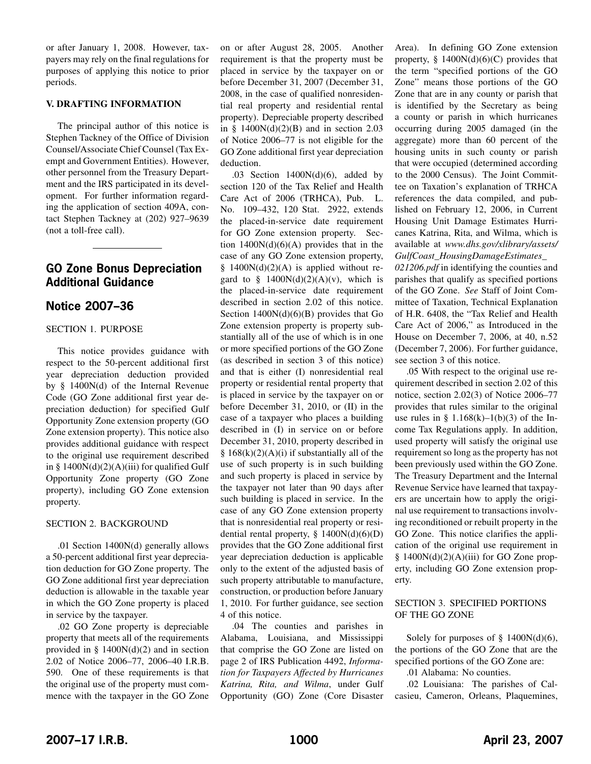<span id="page-14-0"></span>or after January 1, 2008. However, taxpayers may rely on the final regulations for purposes of applying this notice to prior periods.

#### **V. DRAFTING INFORMATION**

The principal author of this notice is Stephen Tackney of the Office of Division Counsel/Associate Chief Counsel (Tax Exempt and Government Entities). However, other personnel from the Treasury Department and the IRS participated in its development. For further information regarding the application of section 409A, contact Stephen Tackney at (202) 927–9639 (not a toll-free call).

## **GO Zone Bonus Depreciation Additional Guidance**

#### **Notice 2007–36**

#### SECTION 1. PURPOSE

This notice provides guidance with respect to the 50-percent additional first year depreciation deduction provided by § 1400N(d) of the Internal Revenue Code (GO Zone additional first year depreciation deduction) for specified Gulf Opportunity Zone extension property (GO Zone extension property). This notice also provides additional guidance with respect to the original use requirement described in §  $1400N(d)(2)(A)(iii)$  for qualified Gulf Opportunity Zone property (GO Zone property), including GO Zone extension property.

#### SECTION 2. BACKGROUND

.01 Section 1400N(d) generally allows a 50-percent additional first year depreciation deduction for GO Zone property. The GO Zone additional first year depreciation deduction is allowable in the taxable year in which the GO Zone property is placed in service by the taxpayer.

.02 GO Zone property is depreciable property that meets all of the requirements provided in  $\S$  1400N(d)(2) and in section 2.02 of Notice 2006–77, 2006–40 I.R.B. 590. One of these requirements is that the original use of the property must commence with the taxpayer in the GO Zone on or after August 28, 2005. Another requirement is that the property must be placed in service by the taxpayer on or before December 31, 2007 (December 31, 2008, in the case of qualified nonresidential real property and residential rental property). Depreciable property described in §  $1400N(d)(2)(B)$  and in section 2.03 of Notice 2006–77 is not eligible for the GO Zone additional first year depreciation deduction.

.03 Section 1400N(d)(6), added by section 120 of the Tax Relief and Health Care Act of 2006 (TRHCA), Pub. L. No. 109–432, 120 Stat. 2922, extends the placed-in-service date requirement for GO Zone extension property. Section  $1400N(d)(6)(A)$  provides that in the case of any GO Zone extension property, §  $1400N(d)(2)(A)$  is applied without regard to  $\S$  1400N(d)(2)(A)(v), which is the placed-in-service date requirement described in section 2.02 of this notice. Section  $1400N(d)(6)(B)$  provides that Go Zone extension property is property substantially all of the use of which is in one or more specified portions of the GO Zone (as described in section 3 of this notice) and that is either (I) nonresidential real property or residential rental property that is placed in service by the taxpayer on or before December 31, 2010, or (II) in the case of a taxpayer who places a building described in (I) in service on or before December 31, 2010, property described in  $§ 168(k)(2)(A)(i)$  if substantially all of the use of such property is in such building and such property is placed in service by the taxpayer not later than 90 days after such building is placed in service. In the case of any GO Zone extension property that is nonresidential real property or residential rental property, § 1400N(d)(6)(D) provides that the GO Zone additional first year depreciation deduction is applicable only to the extent of the adjusted basis of such property attributable to manufacture, construction, or production before January 1, 2010. For further guidance, see section 4 of this notice.

.04 The counties and parishes in Alabama, Louisiana, and Mississippi that comprise the GO Zone are listed on page 2 of IRS Publication 4492, *Information for Taxpayers Affected by Hurricanes Katrina, Rita, and Wilma*, under Gulf Opportunity (GO) Zone (Core Disaster Area). In defining GO Zone extension property,  $§$  1400N(d)(6)(C) provides that the term "specified portions of the GO Zone" means those portions of the GO Zone that are in any county or parish that is identified by the Secretary as being a county or parish in which hurricanes occurring during 2005 damaged (in the aggregate) more than 60 percent of the housing units in such county or parish that were occupied (determined according to the 2000 Census). The Joint Committee on Taxation's explanation of TRHCA references the data compiled, and published on February 12, 2006, in Current Housing Unit Damage Estimates Hurricanes Katrina, Rita, and Wilma, which is available at *www.dhs.gov/xlibrary/assets/ GulfCoast\_HousingDamageEstimates\_*

*021206.pdf* in identifying the counties and parishes that qualify as specified portions of the GO Zone. *See* Staff of Joint Committee of Taxation, Technical Explanation of H.R. 6408, the "Tax Relief and Health Care Act of 2006," as Introduced in the House on December 7, 2006, at 40, n.52 (December 7, 2006). For further guidance, see section 3 of this notice.

.05 With respect to the original use requirement described in section 2.02 of this notice, section 2.02(3) of Notice 2006–77 provides that rules similar to the original use rules in §  $1.168(k)-1(b)(3)$  of the Income Tax Regulations apply. In addition, used property will satisfy the original use requirement so long as the property has not been previously used within the GO Zone. The Treasury Department and the Internal Revenue Service have learned that taxpayers are uncertain how to apply the original use requirement to transactions involving reconditioned or rebuilt property in the GO Zone. This notice clarifies the application of the original use requirement in  $§ 1400N(d)(2)(A)(iii)$  for GO Zone property, including GO Zone extension property.

#### SECTION 3. SPECIFIED PORTIONS OF THE GO ZONE

Solely for purposes of  $\S$  1400N(d)(6), the portions of the GO Zone that are the specified portions of the GO Zone are:

.01 Alabama: No counties.

.02 Louisiana: The parishes of Calcasieu, Cameron, Orleans, Plaquemines,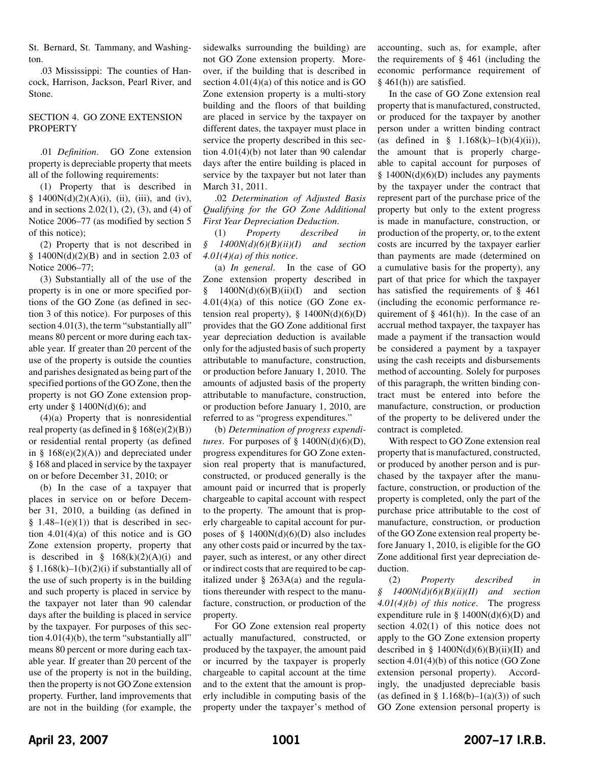St. Bernard, St. Tammany, and Washington.

.03 Mississippi: The counties of Hancock, Harrison, Jackson, Pearl River, and Stone.

#### SECTION 4. GO ZONE EXTENSION **PROPERTY**

.01 *Definition*. GO Zone extension property is depreciable property that meets all of the following requirements:

(1) Property that is described in §  $1400N(d)(2)(A)(i)$ , (ii), (iii), and (iv), and in sections  $2.02(1)$ ,  $(2)$ ,  $(3)$ , and  $(4)$  of Notice 2006–77 (as modified by section 5 of this notice);

(2) Property that is not described in  $§$  1400N(d)(2)(B) and in section 2.03 of Notice 2006–77;

(3) Substantially all of the use of the property is in one or more specified portions of the GO Zone (as defined in section 3 of this notice). For purposes of this section 4.01(3), the term "substantially all" means 80 percent or more during each taxable year. If greater than 20 percent of the use of the property is outside the counties and parishes designated as being part of the specified portions of the GO Zone, then the property is not GO Zone extension property under  $\S$  1400N(d)(6); and

(4)(a) Property that is nonresidential real property (as defined in  $\S 168(e)(2)(B)$ ) or residential rental property (as defined in §  $168(e)(2)(A)$  and depreciated under § 168 and placed in service by the taxpayer on or before December 31, 2010; or

(b) In the case of a taxpayer that places in service on or before December 31, 2010, a building (as defined in  $§$  1.48–1(e)(1)) that is described in section  $4.01(4)(a)$  of this notice and is GO Zone extension property, property that is described in  $\S$  168(k)(2)(A)(i) and  $§ 1.168(k)-1(b)(2)(i)$  if substantially all of the use of such property is in the building and such property is placed in service by the taxpayer not later than 90 calendar days after the building is placed in service by the taxpayer. For purposes of this section 4.01(4)(b), the term "substantially all" means 80 percent or more during each taxable year. If greater than 20 percent of the use of the property is not in the building, then the property is not GO Zone extension property. Further, land improvements that are not in the building (for example, the

sidewalks surrounding the building) are not GO Zone extension property. Moreover, if the building that is described in section  $4.01(4)(a)$  of this notice and is GO Zone extension property is a multi-story building and the floors of that building are placed in service by the taxpayer on different dates, the taxpayer must place in service the property described in this section 4.01(4)(b) not later than 90 calendar days after the entire building is placed in service by the taxpayer but not later than March 31, 2011.

.02 *Determination of Adjusted Basis Qualifying for the GO Zone Additional First Year Depreciation Deduction*.

(1) *Property described in § 1400N(d)(6)(B)(ii)(I) and section 4.01(4)(a) of this notice*.

(a) *In general*. In the case of GO Zone extension property described in  $\S$  1400N(d)(6)(B)(ii)(I) and section  $4.01(4)(a)$  of this notice (GO Zone extension real property),  $\S$  1400N(d)(6)(D) provides that the GO Zone additional first year depreciation deduction is available only for the adjusted basis of such property attributable to manufacture, construction, or production before January 1, 2010. The amounts of adjusted basis of the property attributable to manufacture, construction, or production before January 1, 2010, are referred to as "progress expenditures."

(b) *Determination of progress expenditures*. For purposes of  $\S$  1400N(d)(6)(D), progress expenditures for GO Zone extension real property that is manufactured, constructed, or produced generally is the amount paid or incurred that is properly chargeable to capital account with respect to the property. The amount that is properly chargeable to capital account for purposes of  $\S$  1400N(d)(6)(D) also includes any other costs paid or incurred by the taxpayer, such as interest, or any other direct or indirect costs that are required to be capitalized under § 263A(a) and the regulations thereunder with respect to the manufacture, construction, or production of the property.

For GO Zone extension real property actually manufactured, constructed, or produced by the taxpayer, the amount paid or incurred by the taxpayer is properly chargeable to capital account at the time and to the extent that the amount is properly includible in computing basis of the property under the taxpayer's method of

accounting, such as, for example, after the requirements of § 461 (including the economic performance requirement of § 461(h)) are satisfied.

In the case of GO Zone extension real property that is manufactured, constructed, or produced for the taxpayer by another person under a written binding contract (as defined in §  $1.168(k) - 1(b)(4)(ii)$ ), the amount that is properly chargeable to capital account for purposes of § 1400N(d)(6)(D) includes any payments by the taxpayer under the contract that represent part of the purchase price of the property but only to the extent progress is made in manufacture, construction, or production of the property, or, to the extent costs are incurred by the taxpayer earlier than payments are made (determined on a cumulative basis for the property), any part of that price for which the taxpayer has satisfied the requirements of § 461 (including the economic performance requirement of  $\S$  461(h)). In the case of an accrual method taxpayer, the taxpayer has made a payment if the transaction would be considered a payment by a taxpayer using the cash receipts and disbursements method of accounting. Solely for purposes of this paragraph, the written binding contract must be entered into before the manufacture, construction, or production of the property to be delivered under the contract is completed.

With respect to GO Zone extension real property that is manufactured, constructed, or produced by another person and is purchased by the taxpayer after the manufacture, construction, or production of the property is completed, only the part of the purchase price attributable to the cost of manufacture, construction, or production of the GO Zone extension real property before January 1, 2010, is eligible for the GO Zone additional first year depreciation deduction.

(2) *Property described in § 1400N(d)(6)(B)(ii)(II) and section 4.01(4)(b) of this notice*. The progress expenditure rule in §  $1400N(d)(6)(D)$  and section 4.02(1) of this notice does not apply to the GO Zone extension property described in §  $1400N(d)(6)(B)(ii)(II)$  and section 4.01(4)(b) of this notice (GO Zone extension personal property). Accordingly, the unadjusted depreciable basis (as defined in §  $1.168(b) - 1(a)(3)$ ) of such GO Zone extension personal property is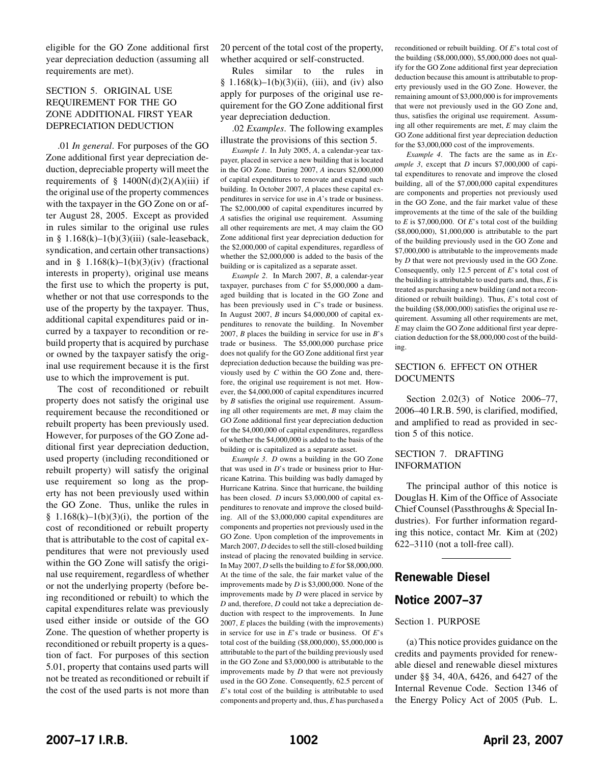<span id="page-16-0"></span>eligible for the GO Zone additional first year depreciation deduction (assuming all requirements are met).

#### SECTION 5. ORIGINAL USE REQUIREMENT FOR THE GO ZONE ADDITIONAL FIRST YEAR DEPRECIATION DEDUCTION

.01 *In general*. For purposes of the GO Zone additional first year depreciation deduction, depreciable property will meet the requirements of  $\S$  1400N(d)(2)(A)(iii) if the original use of the property commences with the taxpayer in the GO Zone on or after August 28, 2005. Except as provided in rules similar to the original use rules in §  $1.168(k)-1(b)(3)(iii)$  (sale-leaseback, syndication, and certain other transactions) and in §  $1.168(k)-1(b)(3)(iv)$  (fractional interests in property), original use means the first use to which the property is put, whether or not that use corresponds to the use of the property by the taxpayer. Thus, additional capital expenditures paid or incurred by a taxpayer to recondition or rebuild property that is acquired by purchase or owned by the taxpayer satisfy the original use requirement because it is the first use to which the improvement is put.

The cost of reconditioned or rebuilt property does not satisfy the original use requirement because the reconditioned or rebuilt property has been previously used. However, for purposes of the GO Zone additional first year depreciation deduction, used property (including reconditioned or rebuilt property) will satisfy the original use requirement so long as the property has not been previously used within the GO Zone. Thus, unlike the rules in  $§ 1.168(k)-1(b)(3)(i)$ , the portion of the cost of reconditioned or rebuilt property that is attributable to the cost of capital expenditures that were not previously used within the GO Zone will satisfy the original use requirement, regardless of whether or not the underlying property (before being reconditioned or rebuilt) to which the capital expenditures relate was previously used either inside or outside of the GO Zone. The question of whether property is reconditioned or rebuilt property is a question of fact. For purposes of this section 5.01, property that contains used parts will not be treated as reconditioned or rebuilt if the cost of the used parts is not more than

20 percent of the total cost of the property, whether acquired or self-constructed.

Rules similar to the rules in  $§ 1.168(k)-1(b)(3)(ii)$ , (iii), and (iv) also apply for purposes of the original use requirement for the GO Zone additional first year depreciation deduction.

.02 *Examples*. The following examples illustrate the provisions of this section 5.

*Example 1*. In July 2005, *A*, a calendar-year taxpayer, placed in service a new building that is located in the GO Zone. During 2007, *A* incurs \$2,000,000 of capital expenditures to renovate and expand such building. In October 2007, *A* places these capital expenditures in service for use in *A*'s trade or business. The \$2,000,000 of capital expenditures incurred by *A* satisfies the original use requirement. Assuming all other requirements are met, *A* may claim the GO Zone additional first year depreciation deduction for the \$2,000,000 of capital expenditures, regardless of whether the \$2,000,000 is added to the basis of the building or is capitalized as a separate asset.

*Example 2*. In March 2007, *B*, a calendar-year taxpayer, purchases from *C* for \$5,000,000 a damaged building that is located in the GO Zone and has been previously used in *C*'s trade or business. In August 2007, *B* incurs \$4,000,000 of capital expenditures to renovate the building. In November 2007, *B* places the building in service for use in *B*'s trade or business. The \$5,000,000 purchase price does not qualify for the GO Zone additional first year depreciation deduction because the building was previously used by *C* within the GO Zone and, therefore, the original use requirement is not met. However, the \$4,000,000 of capital expenditures incurred by *B* satisfies the original use requirement. Assuming all other requirements are met, *B* may claim the GO Zone additional first year depreciation deduction for the \$4,000,000 of capital expenditures, regardless of whether the \$4,000,000 is added to the basis of the building or is capitalized as a separate asset.

*Example 3*. *D* owns a building in the GO Zone that was used in *D*'s trade or business prior to Hurricane Katrina. This building was badly damaged by Hurricane Katrina. Since that hurricane, the building has been closed. *D* incurs \$3,000,000 of capital expenditures to renovate and improve the closed building. All of the \$3,000,000 capital expenditures are components and properties not previously used in the GO Zone. Upon completion of the improvements in March 2007, *D* decides to sell the still-closed building instead of placing the renovated building in service. In May 2007, *D* sells the building to *E* for \$8,000,000. At the time of the sale, the fair market value of the improvements made by *D* is \$3,000,000. None of the improvements made by *D* were placed in service by *D* and, therefore, *D* could not take a depreciation deduction with respect to the improvements. In June 2007, *E* places the building (with the improvements) in service for use in *E*'s trade or business. Of *E*'s total cost of the building (\$8,000,000), \$5,000,000 is attributable to the part of the building previously used in the GO Zone and \$3,000,000 is attributable to the improvements made by *D* that were not previously used in the GO Zone. Consequently, 62.5 percent of *E*'s total cost of the building is attributable to used components and property and, thus, *E* has purchased a reconditioned or rebuilt building. Of *E*'s total cost of the building (\$8,000,000), \$5,000,000 does not qualify for the GO Zone additional first year depreciation deduction because this amount is attributable to property previously used in the GO Zone. However, the remaining amount of \$3,000,000 is for improvements that were not previously used in the GO Zone and, thus, satisfies the original use requirement. Assuming all other requirements are met, *E* may claim the GO Zone additional first year depreciation deduction for the \$3,000,000 cost of the improvements.

*Example 4*. The facts are the same as in *Example 3*, except that *D* incurs \$7,000,000 of capital expenditures to renovate and improve the closed building, all of the \$7,000,000 capital expenditures are components and properties not previously used in the GO Zone, and the fair market value of these improvements at the time of the sale of the building to *E* is \$7,000,000. Of *E*'s total cost of the building (\$8,000,000), \$1,000,000 is attributable to the part of the building previously used in the GO Zone and \$7,000,000 is attributable to the improvements made by *D* that were not previously used in the GO Zone. Consequently, only 12.5 percent of *E*'s total cost of the building is attributable to used parts and, thus, *E* is treated as purchasing a new building (and not a reconditioned or rebuilt building). Thus, *E*'s total cost of the building (\$8,000,000) satisfies the original use requirement. Assuming all other requirements are met, *E* may claim the GO Zone additional first year depreciation deduction for the \$8,000,000 cost of the building.

#### SECTION 6. EFFECT ON OTHER DOCUMENTS

Section 2.02(3) of Notice 2006–77, 2006–40 I.R.B. 590, is clarified, modified, and amplified to read as provided in section 5 of this notice.

#### SECTION 7. DRAFTING INFORMATION

The principal author of this notice is Douglas H. Kim of the Office of Associate Chief Counsel (Passthroughs & Special Industries). For further information regarding this notice, contact Mr. Kim at (202) 622–3110 (not a toll-free call).

## **Renewable Diesel**

## **Notice 2007–37**

#### Section 1. PURPOSE

(a) This notice provides guidance on the credits and payments provided for renewable diesel and renewable diesel mixtures under §§ 34, 40A, 6426, and 6427 of the Internal Revenue Code. Section 1346 of the Energy Policy Act of 2005 (Pub. L.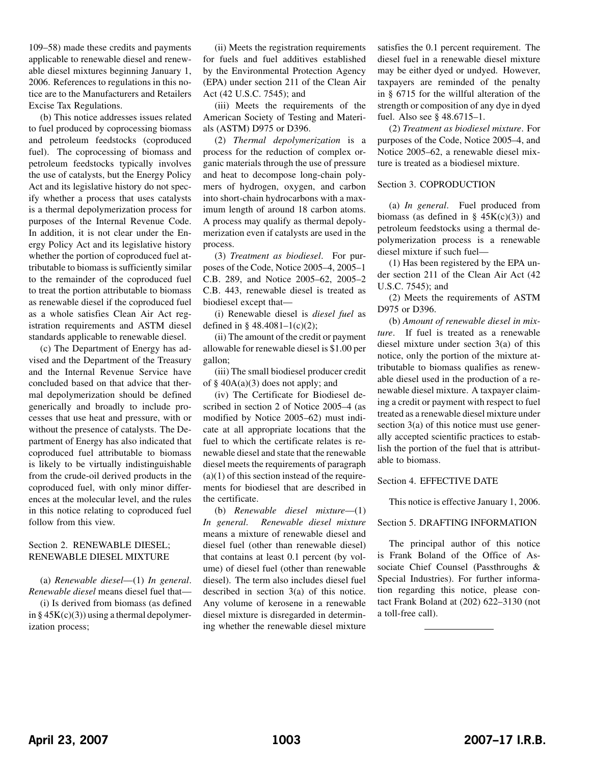109–58) made these credits and payments applicable to renewable diesel and renewable diesel mixtures beginning January 1, 2006. References to regulations in this notice are to the Manufacturers and Retailers Excise Tax Regulations.

(b) This notice addresses issues related to fuel produced by coprocessing biomass and petroleum feedstocks (coproduced fuel). The coprocessing of biomass and petroleum feedstocks typically involves the use of catalysts, but the Energy Policy Act and its legislative history do not specify whether a process that uses catalysts is a thermal depolymerization process for purposes of the Internal Revenue Code. In addition, it is not clear under the Energy Policy Act and its legislative history whether the portion of coproduced fuel attributable to biomass is sufficiently similar to the remainder of the coproduced fuel to treat the portion attributable to biomass as renewable diesel if the coproduced fuel as a whole satisfies Clean Air Act registration requirements and ASTM diesel standards applicable to renewable diesel.

(c) The Department of Energy has advised and the Department of the Treasury and the Internal Revenue Service have concluded based on that advice that thermal depolymerization should be defined generically and broadly to include processes that use heat and pressure, with or without the presence of catalysts. The Department of Energy has also indicated that coproduced fuel attributable to biomass is likely to be virtually indistinguishable from the crude-oil derived products in the coproduced fuel, with only minor differences at the molecular level, and the rules in this notice relating to coproduced fuel follow from this view.

#### Section 2. RENEWABLE DIESEL; RENEWABLE DIESEL MIXTURE

(a) *Renewable diesel*—(1) *In general*. *Renewable diesel* means diesel fuel that— (i) Is derived from biomass (as defined

in §  $45K(c)(3)$ ) using a thermal depolymerization process;

(ii) Meets the registration requirements for fuels and fuel additives established by the Environmental Protection Agency (EPA) under section 211 of the Clean Air Act (42 U.S.C. 7545); and

(iii) Meets the requirements of the American Society of Testing and Materials (ASTM) D975 or D396.

(2) *Thermal depolymerization* is a process for the reduction of complex organic materials through the use of pressure and heat to decompose long-chain polymers of hydrogen, oxygen, and carbon into short-chain hydrocarbons with a maximum length of around 18 carbon atoms. A process may qualify as thermal depolymerization even if catalysts are used in the process.

(3) *Treatment as biodiesel*. For purposes of the Code, Notice 2005–4, 2005–1 C.B. 289, and Notice 2005–62, 2005–2 C.B. 443, renewable diesel is treated as biodiesel except that—

(i) Renewable diesel is *diesel fuel* as defined in §  $48.4081 - 1(c)(2)$ ;

(ii) The amount of the credit or payment allowable for renewable diesel is \$1.00 per gallon;

(iii) The small biodiesel producer credit of  $§$  40A(a)(3) does not apply; and

(iv) The Certificate for Biodiesel described in section 2 of Notice 2005–4 (as modified by Notice 2005–62) must indicate at all appropriate locations that the fuel to which the certificate relates is renewable diesel and state that the renewable diesel meets the requirements of paragraph  $(a)(1)$  of this section instead of the requirements for biodiesel that are described in the certificate.

(b) *Renewable diesel mixture*—(1) *In general*. *Renewable diesel mixture* means a mixture of renewable diesel and diesel fuel (other than renewable diesel) that contains at least 0.1 percent (by volume) of diesel fuel (other than renewable diesel). The term also includes diesel fuel described in section 3(a) of this notice. Any volume of kerosene in a renewable diesel mixture is disregarded in determining whether the renewable diesel mixture

satisfies the 0.1 percent requirement. The diesel fuel in a renewable diesel mixture may be either dyed or undyed. However, taxpayers are reminded of the penalty in § 6715 for the willful alteration of the strength or composition of any dye in dyed fuel. Also see § 48.6715–1.

(2) *Treatment as biodiesel mixture*. For purposes of the Code, Notice 2005–4, and Notice 2005–62, a renewable diesel mixture is treated as a biodiesel mixture.

#### Section 3. COPRODUCTION

(a) *In general*. Fuel produced from biomass (as defined in  $\S$  45K(c)(3)) and petroleum feedstocks using a thermal depolymerization process is a renewable diesel mixture if such fuel—

(1) Has been registered by the EPA under section 211 of the Clean Air Act (42 U.S.C. 7545); and

(2) Meets the requirements of ASTM D975 or D396.

(b) *Amount of renewable diesel in mixture*. If fuel is treated as a renewable diesel mixture under section 3(a) of this notice, only the portion of the mixture attributable to biomass qualifies as renewable diesel used in the production of a renewable diesel mixture. A taxpayer claiming a credit or payment with respect to fuel treated as a renewable diesel mixture under section 3(a) of this notice must use generally accepted scientific practices to establish the portion of the fuel that is attributable to biomass.

#### Section 4. EFFECTIVE DATE

This notice is effective January 1, 2006.

#### Section 5. DRAFTING INFORMATION

The principal author of this notice is Frank Boland of the Office of Associate Chief Counsel (Passthroughs & Special Industries). For further information regarding this notice, please contact Frank Boland at (202) 622–3130 (not a toll-free call).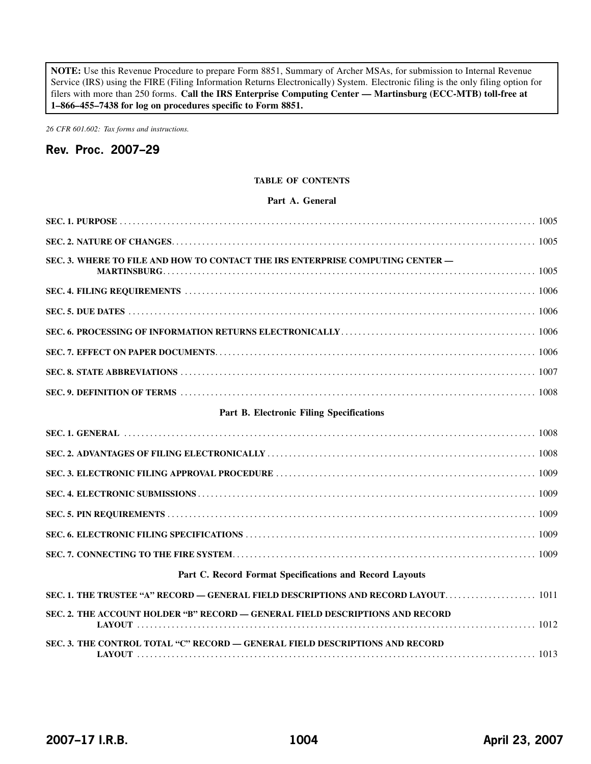<span id="page-18-0"></span>**NOTE:** Use this Revenue Procedure to prepare Form 8851, Summary of Archer MSAs, for submission to Internal Revenue Service (IRS) using the FIRE (Filing Information Returns Electronically) System. Electronic filing is the only filing option for filers with more than 250 forms. **Call the IRS Enterprise Computing Center — Martinsburg (ECC-MTB) toll-free at 1–866–455–7438 for log on procedures specific to Form 8851.**

*26 CFR 601.602: Tax forms and instructions.*

## **Rev. Proc. 2007–29**

#### **TABLE OF CONTENTS**

#### **Part A. General**

| SEC. 3. WHERE TO FILE AND HOW TO CONTACT THE IRS ENTERPRISE COMPUTING CENTER -     |
|------------------------------------------------------------------------------------|
|                                                                                    |
|                                                                                    |
|                                                                                    |
|                                                                                    |
|                                                                                    |
|                                                                                    |
| Part B. Electronic Filing Specifications                                           |
|                                                                                    |
|                                                                                    |
|                                                                                    |
|                                                                                    |
|                                                                                    |
|                                                                                    |
|                                                                                    |
| Part C. Record Format Specifications and Record Layouts                            |
| SEC. 1. THE TRUSTEE "A" RECORD — GENERAL FIELD DESCRIPTIONS AND RECORD LAYOUT 1011 |
| SEC. 2. THE ACCOUNT HOLDER "B" RECORD - GENERAL FIELD DESCRIPTIONS AND RECORD      |
| SEC. 3. THE CONTROL TOTAL "C" RECORD - GENERAL FIELD DESCRIPTIONS AND RECORD       |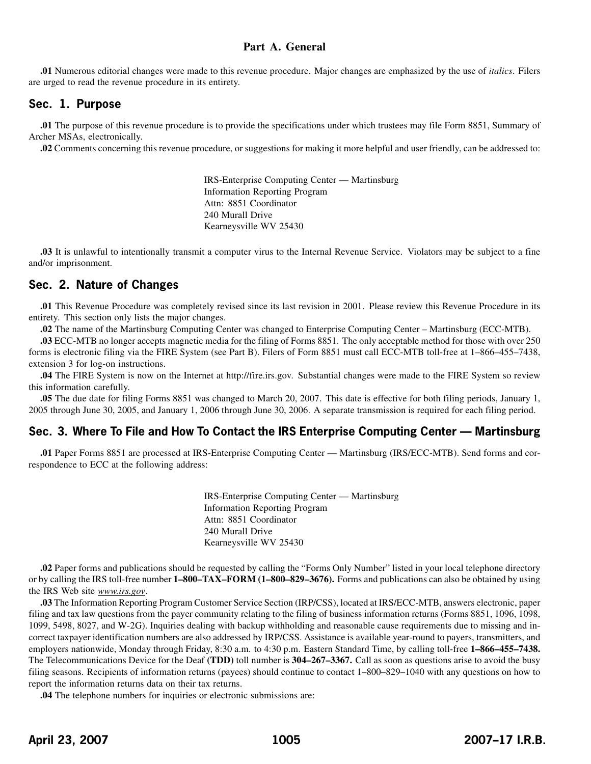#### **Part A. General**

<span id="page-19-0"></span>**.01** Numerous editorial changes were made to this revenue procedure. Major changes are emphasized by the use of *italics*. Filers are urged to read the revenue procedure in its entirety.

#### **Sec. 1. Purpose**

**.01** The purpose of this revenue procedure is to provide the specifications under which trustees may file Form 8851, Summary of Archer MSAs, electronically.

**.02** Comments concerning this revenue procedure, or suggestions for making it more helpful and user friendly, can be addressed to:

IRS-Enterprise Computing Center — Martinsburg Information Reporting Program Attn: 8851 Coordinator 240 Murall Drive Kearneysville WV 25430

**.03** It is unlawful to intentionally transmit a computer virus to the Internal Revenue Service. Violators may be subject to a fine and/or imprisonment.

#### **Sec. 2. Nature of Changes**

**.01** This Revenue Procedure was completely revised since its last revision in 2001. Please review this Revenue Procedure in its entirety. This section only lists the major changes.

**.02** The name of the Martinsburg Computing Center was changed to Enterprise Computing Center – Martinsburg (ECC-MTB).

**.03** ECC-MTB no longer accepts magnetic media for the filing of Forms 8851. The only acceptable method for those with over 250 forms is electronic filing via the FIRE System (see Part B). Filers of Form 8851 must call ECC-MTB toll-free at 1–866–455–7438, extension 3 for log-on instructions.

**.04** The FIRE System is now on the Internet at http://fire.irs.gov. Substantial changes were made to the FIRE System so review this information carefully.

**.05** The due date for filing Forms 8851 was changed to March 20, 2007. This date is effective for both filing periods, January 1, 2005 through June 30, 2005, and January 1, 2006 through June 30, 2006. A separate transmission is required for each filing period.

### **Sec. 3. Where To File and How To Contact the IRS Enterprise Computing Center — Martinsburg**

**.01** Paper Forms 8851 are processed at IRS-Enterprise Computing Center — Martinsburg (IRS/ECC-MTB). Send forms and correspondence to ECC at the following address:

> IRS-Enterprise Computing Center — Martinsburg Information Reporting Program Attn: 8851 Coordinator 240 Murall Drive Kearneysville WV 25430

**.02** Paper forms and publications should be requested by calling the "Forms Only Number" listed in your local telephone directory or by calling the IRS toll-free number **1–800–TAX–FORM (1–800–829–3676).** Forms and publications can also be obtained by using the IRS Web site *www.irs.gov*.

**.03** The Information Reporting Program Customer Service Section (IRP/CSS), located at IRS/ECC-MTB, answers electronic, paper filing and tax law questions from the payer community relating to the filing of business information returns (Forms 8851, 1096, 1098, 1099, 5498, 8027, and W-2G). Inquiries dealing with backup withholding and reasonable cause requirements due to missing and incorrect taxpayer identification numbers are also addressed by IRP/CSS. Assistance is available year-round to payers, transmitters, and employers nationwide, Monday through Friday, 8:30 a.m. to 4:30 p.m. Eastern Standard Time, by calling toll-free **1–866–455–7438.** The Telecommunications Device for the Deaf **(TDD)** toll number is **304–267–3367.** Call as soon as questions arise to avoid the busy filing seasons. Recipients of information returns (payees) should continue to contact 1–800–829–1040 with any questions on how to report the information returns data on their tax returns.

**.04** The telephone numbers for inquiries or electronic submissions are: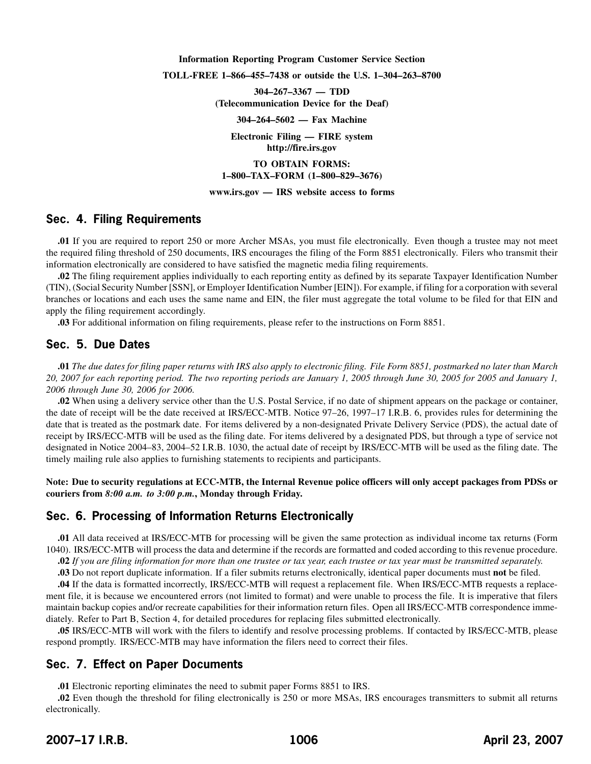**Information Reporting Program Customer Service Section**

<span id="page-20-0"></span>**TOLL-FREE 1–866–455–7438 or outside the U.S. 1–304–263–8700**

**304–267–3367 — TDD (Telecommunication Device for the Deaf)**

**304–264–5602 — Fax Machine**

**Electronic Filing — FIRE system http://fire.irs.gov**

#### **TO OBTAIN FORMS: 1–800–TAX–FORM (1–800–829–3676)**

#### **www.irs.gov — IRS website access to forms**

## **Sec. 4. Filing Requirements**

**.01** If you are required to report 250 or more Archer MSAs, you must file electronically. Even though a trustee may not meet the required filing threshold of 250 documents, IRS encourages the filing of the Form 8851 electronically. Filers who transmit their information electronically are considered to have satisfied the magnetic media filing requirements.

**.02** The filing requirement applies individually to each reporting entity as defined by its separate Taxpayer Identification Number (TIN), (Social Security Number [SSN], or Employer Identification Number [EIN]). For example, if filing for a corporation with several branches or locations and each uses the same name and EIN, the filer must aggregate the total volume to be filed for that EIN and apply the filing requirement accordingly.

**.03** For additional information on filing requirements, please refer to the instructions on Form 8851.

#### **Sec. 5. Due Dates**

**.01** *The due dates for filing paper returns with IRS also apply to electronic filing. File Form 8851, postmarked no later than March 20, 2007 for each reporting period. The two reporting periods are January 1, 2005 through June 30, 2005 for 2005 and January 1, 2006 through June 30, 2006 for 2006.*

**.02** When using a delivery service other than the U.S. Postal Service, if no date of shipment appears on the package or container, the date of receipt will be the date received at IRS/ECC-MTB. Notice 97–26, 1997–17 I.R.B. 6, provides rules for determining the date that is treated as the postmark date. For items delivered by a non-designated Private Delivery Service (PDS), the actual date of receipt by IRS/ECC-MTB will be used as the filing date. For items delivered by a designated PDS, but through a type of service not designated in Notice 2004–83, 2004–52 I.R.B. 1030, the actual date of receipt by IRS/ECC-MTB will be used as the filing date. The timely mailing rule also applies to furnishing statements to recipients and participants.

**Note: Due to security regulations at ECC-MTB, the Internal Revenue police officers will only accept packages from PDSs or couriers from** *8:00 a.m. to 3:00 p.m.***, Monday through Friday.**

### **Sec. 6. Processing of Information Returns Electronically**

**.01** All data received at IRS/ECC-MTB for processing will be given the same protection as individual income tax returns (Form 1040). IRS/ECC-MTB will process the data and determine if the records are formatted and coded according to this revenue procedure.

**.02** *If you are filing information for more than one trustee or tax year, each trustee or tax year must be transmitted separately.* **.03** Do not report duplicate information. If a filer submits returns electronically, identical paper documents must **not** be filed.

**.04** If the data is formatted incorrectly, IRS/ECC-MTB will request a replacement file. When IRS/ECC-MTB requests a replacement file, it is because we encountered errors (not limited to format) and were unable to process the file. It is imperative that filers maintain backup copies and/or recreate capabilities for their information return files. Open all IRS/ECC-MTB correspondence immediately. Refer to Part B, Section 4, for detailed procedures for replacing files submitted electronically.

**.05** IRS/ECC-MTB will work with the filers to identify and resolve processing problems. If contacted by IRS/ECC-MTB, please respond promptly. IRS/ECC-MTB may have information the filers need to correct their files.

#### **Sec. 7. Effect on Paper Documents**

**.01** Electronic reporting eliminates the need to submit paper Forms 8851 to IRS.

**.02** Even though the threshold for filing electronically is 250 or more MSAs, IRS encourages transmitters to submit all returns electronically.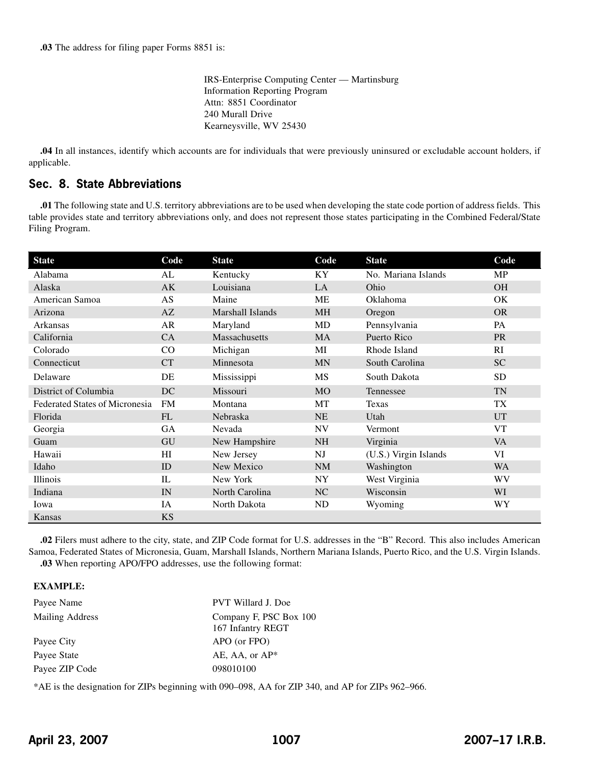IRS-Enterprise Computing Center — Martinsburg Information Reporting Program Attn: 8851 Coordinator 240 Murall Drive Kearneysville, WV 25430

<span id="page-21-0"></span>**.04** In all instances, identify which accounts are for individuals that were previously uninsured or excludable account holders, if applicable.

## **Sec. 8. State Abbreviations**

**.01** The following state and U.S. territory abbreviations are to be used when developing the state code portion of address fields. This table provides state and territory abbreviations only, and does not represent those states participating in the Combined Federal/State Filing Program.

| <b>State</b>                          | Code           | <b>State</b>         | Code      | <b>State</b>          | Code      |
|---------------------------------------|----------------|----------------------|-----------|-----------------------|-----------|
| Alabama                               | AL             | Kentucky             | KY        | No. Mariana Islands   | MP        |
| Alaska                                | AK             | Louisiana            | LA        | Ohio                  | <b>OH</b> |
| American Samoa                        | AS             | Maine                | ME        | Oklahoma              | <b>OK</b> |
| Arizona                               | AZ             | Marshall Islands     | <b>MH</b> | Oregon                | <b>OR</b> |
| Arkansas                              | AR             | Maryland             | MD        | Pennsylvania          | PA        |
| California                            | CA             | <b>Massachusetts</b> | <b>MA</b> | Puerto Rico           | <b>PR</b> |
| Colorado                              | CO             | Michigan             | МI        | Rhode Island          | RI        |
| Connecticut                           | <b>CT</b>      | Minnesota            | <b>MN</b> | South Carolina        | <b>SC</b> |
| Delaware                              | DE             | Mississippi          | <b>MS</b> | South Dakota          | <b>SD</b> |
| District of Columbia                  | DC             | Missouri             | <b>MO</b> | Tennessee             | <b>TN</b> |
| <b>Federated States of Micronesia</b> | <b>FM</b>      | Montana              | MT        | Texas                 | TX        |
| Florida                               | FL             | Nebraska             | <b>NE</b> | Utah                  | <b>UT</b> |
| Georgia                               | <b>GA</b>      | Nevada               | <b>NV</b> | Vermont               | <b>VT</b> |
| Guam                                  | GU             | New Hampshire        | <b>NH</b> | Virginia              | <b>VA</b> |
| Hawaii                                | H <sub>I</sub> | New Jersey           | NJ        | (U.S.) Virgin Islands | VI        |
| Idaho                                 | ID             | New Mexico           | NM        | Washington            | <b>WA</b> |
| Illinois                              | IL             | New York             | <b>NY</b> | West Virginia         | <b>WV</b> |
| Indiana                               | IN             | North Carolina       | NC        | Wisconsin             | <b>WI</b> |
| Iowa                                  | IA             | North Dakota         | ND        | Wyoming               | WY        |
| Kansas                                | <b>KS</b>      |                      |           |                       |           |

**.02** Filers must adhere to the city, state, and ZIP Code format for U.S. addresses in the "B" Record. This also includes American Samoa, Federated States of Micronesia, Guam, Marshall Islands, Northern Mariana Islands, Puerto Rico, and the U.S. Virgin Islands. **.03** When reporting APO/FPO addresses, use the following format:

#### **EXAMPLE:**

| Payee Name      | <b>PVT</b> Willard J. Doe |
|-----------------|---------------------------|
| Mailing Address | Company F, PSC Box 100    |
|                 | 167 Infantry REGT         |
| Payee City      | APO (or FPO)              |
| Payee State     | AE, AA, or $AP^*$         |
| Payee ZIP Code  | 098010100                 |

\*AE is the designation for ZIPs beginning with 090–098, AA for ZIP 340, and AP for ZIPs 962–966.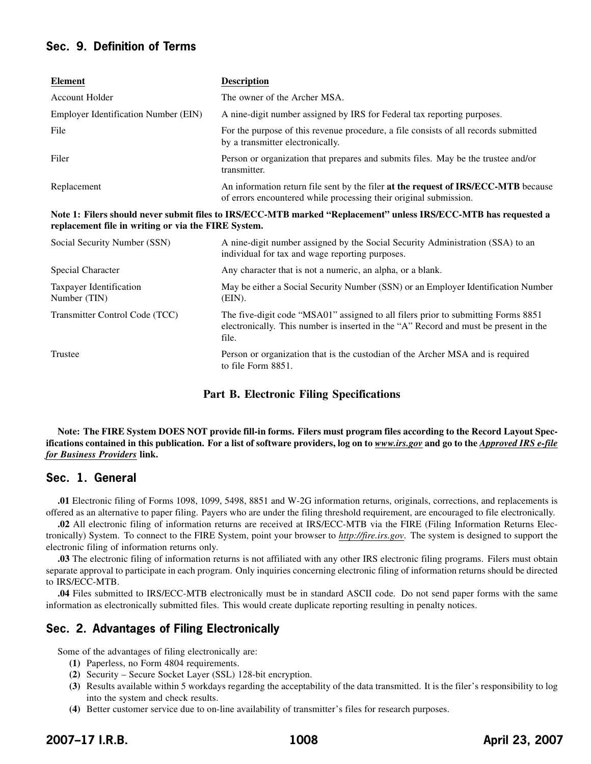## <span id="page-22-0"></span>**Sec. 9. Definition of Terms**

| <b>Element</b>                              | <b>Description</b>                                                                                                                                      |
|---------------------------------------------|---------------------------------------------------------------------------------------------------------------------------------------------------------|
| Account Holder                              | The owner of the Archer MSA.                                                                                                                            |
| <b>Employer Identification Number (EIN)</b> | A nine-digit number assigned by IRS for Federal tax reporting purposes.                                                                                 |
| File                                        | For the purpose of this revenue procedure, a file consists of all records submitted<br>by a transmitter electronically.                                 |
| Filer                                       | Person or organization that prepares and submits files. May be the trustee and/or<br>transmitter.                                                       |
| Replacement                                 | An information return file sent by the filer at the request of IRS/ECC-MTB because<br>of errors encountered while processing their original submission. |

#### **Note 1: Filers should never submit files to IRS/ECC-MTB marked "Replacement" unless IRS/ECC-MTB has requested a replacement file in writing or via the FIRE System.**

| Social Security Number (SSN)            | A nine-digit number assigned by the Social Security Administration (SSA) to an<br>individual for tax and wage reporting purposes.                                                  |
|-----------------------------------------|------------------------------------------------------------------------------------------------------------------------------------------------------------------------------------|
| Special Character                       | Any character that is not a numeric, an alpha, or a blank.                                                                                                                         |
| Taxpayer Identification<br>Number (TIN) | May be either a Social Security Number (SSN) or an Employer Identification Number<br>(EIN).                                                                                        |
| Transmitter Control Code (TCC)          | The five-digit code "MSA01" assigned to all filers prior to submitting Forms 8851<br>electronically. This number is inserted in the "A" Record and must be present in the<br>file. |
| Trustee                                 | Person or organization that is the custodian of the Archer MSA and is required<br>to file Form 8851.                                                                               |

#### **Part B. Electronic Filing Specifications**

**Note: The FIRE System DOES NOT provide fill-in forms. Filers must program files according to the Record Layout Specifications contained in this publication. For a list of software providers, log on to** *www.irs.gov* **and go to the** *Approved IRS e-file for Business Providers* **link.**

## **Sec. 1. General**

**.01** Electronic filing of Forms 1098, 1099, 5498, 8851 and W-2G information returns, originals, corrections, and replacements is offered as an alternative to paper filing. Payers who are under the filing threshold requirement, are encouraged to file electronically.

**.02** All electronic filing of information returns are received at IRS/ECC-MTB via the FIRE (Filing Information Returns Electronically) System. To connect to the FIRE System, point your browser to *http://fire.irs.gov*. The system is designed to support the electronic filing of information returns only.

**.03** The electronic filing of information returns is not affiliated with any other IRS electronic filing programs. Filers must obtain separate approval to participate in each program. Only inquiries concerning electronic filing of information returns should be directed to IRS/ECC-MTB.

**.04** Files submitted to IRS/ECC-MTB electronically must be in standard ASCII code. Do not send paper forms with the same information as electronically submitted files. This would create duplicate reporting resulting in penalty notices.

## **Sec. 2. Advantages of Filing Electronically**

Some of the advantages of filing electronically are:

- **(1)** Paperless, no Form 4804 requirements.
- **(2)** Security Secure Socket Layer (SSL) 128-bit encryption.
- **(3)** Results available within 5 workdays regarding the acceptability of the data transmitted. It is the filer's responsibility to log into the system and check results.
- **(4)** Better customer service due to on-line availability of transmitter's files for research purposes.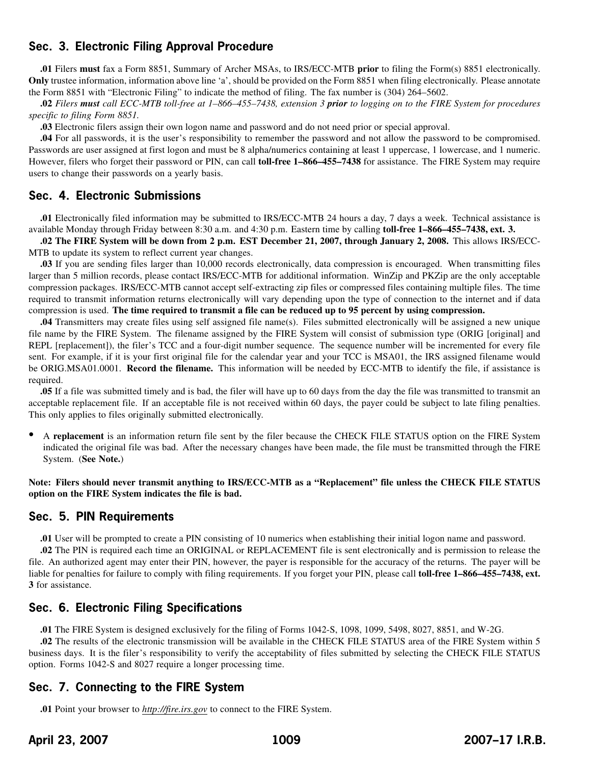## <span id="page-23-0"></span>**Sec. 3. Electronic Filing Approval Procedure**

**.01** Filers **must** fax a Form 8851, Summary of Archer MSAs, to IRS/ECC-MTB **prior** to filing the Form(s) 8851 electronically. **Only** trustee information, information above line 'a', should be provided on the Form 8851 when filing electronically. Please annotate the Form 8851 with "Electronic Filing" to indicate the method of filing. The fax number is (304) 264–5602.

**.02** *Filers must call ECC-MTB toll-free at 1–866–455–7438, extension 3 prior to logging on to the FIRE System for procedures specific to filing Form 8851.*

**.03** Electronic filers assign their own logon name and password and do not need prior or special approval.

**.04** For all passwords, it is the user's responsibility to remember the password and not allow the password to be compromised. Passwords are user assigned at first logon and must be 8 alpha/numerics containing at least 1 uppercase, 1 lowercase, and 1 numeric. However, filers who forget their password or PIN, can call **toll-free 1–866–455–7438** for assistance. The FIRE System may require users to change their passwords on a yearly basis.

## **Sec. 4. Electronic Submissions**

**.01** Electronically filed information may be submitted to IRS/ECC-MTB 24 hours a day, 7 days a week. Technical assistance is available Monday through Friday between 8:30 a.m. and 4:30 p.m. Eastern time by calling **toll-free 1–866–455–7438, ext. 3.**

**.02 The FIRE System will be down from 2 p.m. EST December 21, 2007, through January 2, 2008.** This allows IRS/ECC-MTB to update its system to reflect current year changes.

**.03** If you are sending files larger than 10,000 records electronically, data compression is encouraged. When transmitting files larger than 5 million records, please contact IRS/ECC-MTB for additional information. WinZip and PKZip are the only acceptable compression packages. IRS/ECC-MTB cannot accept self-extracting zip files or compressed files containing multiple files. The time required to transmit information returns electronically will vary depending upon the type of connection to the internet and if data compression is used. **The time required to transmit a file can be reduced up to 95 percent by using compression.**

**.04** Transmitters may create files using self assigned file name(s). Files submitted electronically will be assigned a new unique file name by the FIRE System. The filename assigned by the FIRE System will consist of submission type (ORIG [original] and REPL [replacement]), the filer's TCC and a four-digit number sequence. The sequence number will be incremented for every file sent. For example, if it is your first original file for the calendar year and your TCC is MSA01, the IRS assigned filename would be ORIG.MSA01.0001. **Record the filename.** This information will be needed by ECC-MTB to identify the file, if assistance is required.

**.05** If a file was submitted timely and is bad, the filer will have up to 60 days from the day the file was transmitted to transmit an acceptable replacement file. If an acceptable file is not received within 60 days, the payer could be subject to late filing penalties. This only applies to files originally submitted electronically.

• <sup>A</sup> **replacement** is an information return file sent by the filer because the CHECK FILE STATUS option on the FIRE System indicated the original file was bad. After the necessary changes have been made, the file must be transmitted through the FIRE System. (**See Note.**)

**Note: Filers should never transmit anything to IRS/ECC-MTB as a "Replacement" file unless the CHECK FILE STATUS option on the FIRE System indicates the file is bad.**

## **Sec. 5. PIN Requirements**

**.01** User will be prompted to create a PIN consisting of 10 numerics when establishing their initial logon name and password. **.02** The PIN is required each time an ORIGINAL or REPLACEMENT file is sent electronically and is permission to release the file. An authorized agent may enter their PIN, however, the payer is responsible for the accuracy of the returns. The payer will be liable for penalties for failure to comply with filing requirements. If you forget your PIN, please call **toll-free 1–866–455–7438, ext. 3** for assistance.

## **Sec. 6. Electronic Filing Specifications**

**.01** The FIRE System is designed exclusively for the filing of Forms 1042-S, 1098, 1099, 5498, 8027, 8851, and W-2G.

**.02** The results of the electronic transmission will be available in the CHECK FILE STATUS area of the FIRE System within 5 business days. It is the filer's responsibility to verify the acceptability of files submitted by selecting the CHECK FILE STATUS option. Forms 1042-S and 8027 require a longer processing time.

## **Sec. 7. Connecting to the FIRE System**

**.01** Point your browser to *http://fire.irs.gov* to connect to the FIRE System.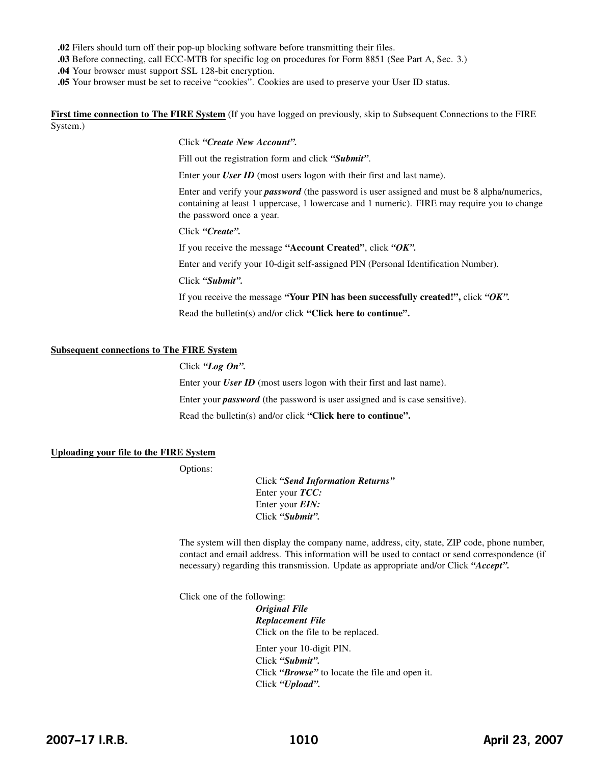**.02** Filers should turn off their pop-up blocking software before transmitting their files.

**.03** Before connecting, call ECC-MTB for specific log on procedures for Form 8851 (See Part A, Sec. 3.)

**.04** Your browser must support SSL 128-bit encryption.

**.05** Your browser must be set to receive "cookies". Cookies are used to preserve your User ID status.

**First time connection to The FIRE System** (If you have logged on previously, skip to Subsequent Connections to the FIRE System.)

Click *"Create New Account".*

Fill out the registration form and click *"Submit"*.

Enter your *User ID* (most users logon with their first and last name).

Enter and verify your *password* (the password is user assigned and must be 8 alpha/numerics, containing at least 1 uppercase, 1 lowercase and 1 numeric). FIRE may require you to change the password once a year.

Click *"Create".*

If you receive the message **"Account Created"**, click *"OK".*

Enter and verify your 10-digit self-assigned PIN (Personal Identification Number).

Click *"Submit".*

If you receive the message **"Your PIN has been successfully created!",** click *"OK".*

Read the bulletin(s) and/or click **"Click here to continue".**

#### **Subsequent connections to The FIRE System**

Click *"Log On".*

Enter your *User ID* (most users logon with their first and last name). Enter your *password* (the password is user assigned and is case sensitive). Read the bulletin(s) and/or click **"Click here to continue".**

#### **Uploading your file to the FIRE System**

Options:

Click *"Send Information Returns"* Enter your *TCC:* Enter your *EIN:* Click *"Submit".*

The system will then display the company name, address, city, state, ZIP code, phone number, contact and email address. This information will be used to contact or send correspondence (if necessary) regarding this transmission. Update as appropriate and/or Click *"Accept".*

Click one of the following:

*Original File Replacement File* Click on the file to be replaced. Enter your 10-digit PIN. Click *"Submit".* Click *"Browse"* to locate the file and open it. Click *"Upload".*

**2007–17 I.R.B. 1010 April 23, 2007**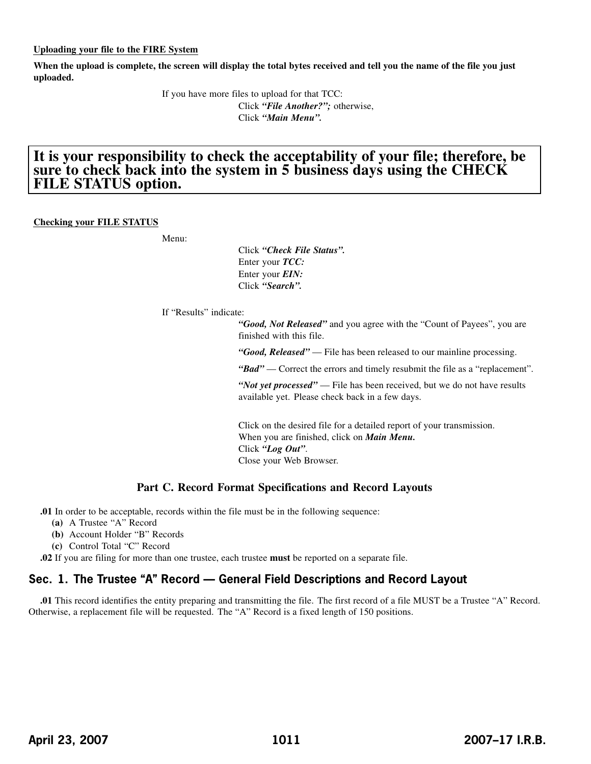<span id="page-25-0"></span>**Uploading your file to the FIRE System**

**When the upload is complete, the screen will display the total bytes received and tell you the name of the file you just uploaded.**

> If you have more files to upload for that TCC: Click *"File Another?";* otherwise, Click *"Main Menu".*

## **It is your responsibility to check the acceptability of your file; therefore, be sure to check back into the system in 5 business days using the CHECK FILE STATUS option.**

#### **Checking your FILE STATUS**

Menu:

Click *"Check File Status".* Enter your *TCC:* Enter your *EIN:* Click *"Search".*

If "Results" indicate:

*"Good, Not Released"* and you agree with the "Count of Payees", you are finished with this file.

*"Good, Released"* — File has been released to our mainline processing.

*"Bad"* — Correct the errors and timely resubmit the file as a "replacement".

*"Not yet processed"* — File has been received, but we do not have results available yet. Please check back in a few days.

Click on the desired file for a detailed report of your transmission. When you are finished, click on *Main Menu.* Click *"Log Out"*. Close your Web Browser.

## **Part C. Record Format Specifications and Record Layouts**

**.01** In order to be acceptable, records within the file must be in the following sequence:

- **(a)** A Trustee "A" Record
- **(b)** Account Holder "B" Records
- **(c)** Control Total "C" Record

**.02** If you are filing for more than one trustee, each trustee **must** be reported on a separate file.

## **Sec. 1. The Trustee "A" Record — General Field Descriptions and Record Layout**

**.01** This record identifies the entity preparing and transmitting the file. The first record of a file MUST be a Trustee "A" Record. Otherwise, a replacement file will be requested. The "A" Record is a fixed length of 150 positions.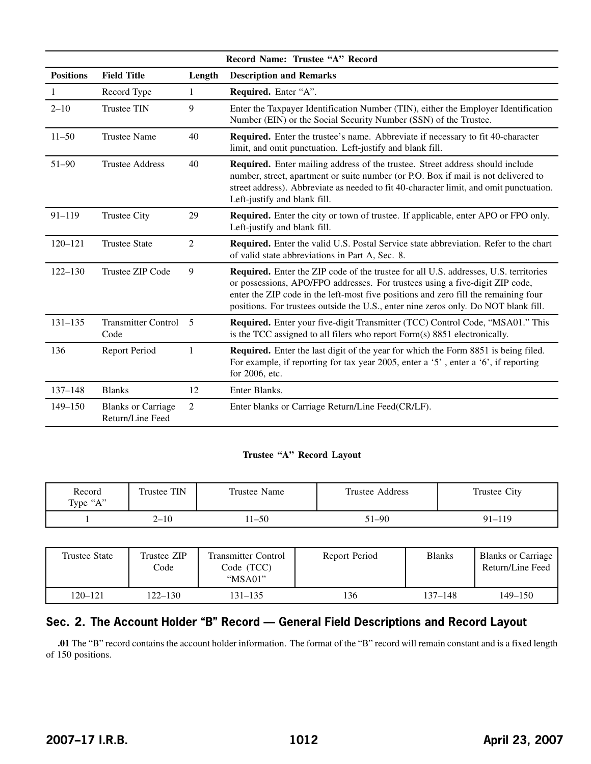<span id="page-26-0"></span>

|                  | Record Name: Trustee "A" Record               |              |                                                                                                                                                                                                                                                                                                                                                    |  |  |
|------------------|-----------------------------------------------|--------------|----------------------------------------------------------------------------------------------------------------------------------------------------------------------------------------------------------------------------------------------------------------------------------------------------------------------------------------------------|--|--|
| <b>Positions</b> | <b>Field Title</b>                            | Length       | <b>Description and Remarks</b>                                                                                                                                                                                                                                                                                                                     |  |  |
| 1                | Record Type                                   | 1            | Required. Enter "A".                                                                                                                                                                                                                                                                                                                               |  |  |
| $2 - 10$         | <b>Trustee TIN</b>                            | 9            | Enter the Taxpayer Identification Number (TIN), either the Employer Identification<br>Number (EIN) or the Social Security Number (SSN) of the Trustee.                                                                                                                                                                                             |  |  |
| $11 - 50$        | <b>Trustee Name</b>                           | 40           | <b>Required.</b> Enter the trustee's name. Abbreviate if necessary to fit 40-character<br>limit, and omit punctuation. Left-justify and blank fill.                                                                                                                                                                                                |  |  |
| $51 - 90$        | <b>Trustee Address</b>                        | 40           | Required. Enter mailing address of the trustee. Street address should include<br>number, street, apartment or suite number (or P.O. Box if mail is not delivered to<br>street address). Abbreviate as needed to fit 40-character limit, and omit punctuation.<br>Left-justify and blank fill.                                                      |  |  |
| $91 - 119$       | <b>Trustee City</b>                           | 29           | Required. Enter the city or town of trustee. If applicable, enter APO or FPO only.<br>Left-justify and blank fill.                                                                                                                                                                                                                                 |  |  |
| $120 - 121$      | <b>Trustee State</b>                          | 2            | <b>Required.</b> Enter the valid U.S. Postal Service state abbreviation. Refer to the chart<br>of valid state abbreviations in Part A, Sec. 8.                                                                                                                                                                                                     |  |  |
| $122 - 130$      | <b>Trustee ZIP Code</b>                       | 9            | Required. Enter the ZIP code of the trustee for all U.S. addresses, U.S. territories<br>or possessions, APO/FPO addresses. For trustees using a five-digit ZIP code,<br>enter the ZIP code in the left-most five positions and zero fill the remaining four<br>positions. For trustees outside the U.S., enter nine zeros only. Do NOT blank fill. |  |  |
| $131 - 135$      | <b>Transmitter Control</b><br>Code            | 5            | Required. Enter your five-digit Transmitter (TCC) Control Code, "MSA01." This<br>is the TCC assigned to all filers who report Form(s) 8851 electronically.                                                                                                                                                                                         |  |  |
| 136              | Report Period                                 | $\mathbf{1}$ | <b>Required.</b> Enter the last digit of the year for which the Form 8851 is being filed.<br>For example, if reporting for tax year 2005, enter a '5', enter a '6', if reporting<br>for 2006, etc.                                                                                                                                                 |  |  |
| $137 - 148$      | <b>Blanks</b>                                 | 12           | Enter Blanks.                                                                                                                                                                                                                                                                                                                                      |  |  |
| 149-150          | <b>Blanks or Carriage</b><br>Return/Line Feed | 2            | Enter blanks or Carriage Return/Line Feed(CR/LF).                                                                                                                                                                                                                                                                                                  |  |  |

#### **Trustee "A" Record Layout**

| Record<br>Type "A" | <b>Trustee TIN</b> | Trustee Name | Trustee Address | Trustee City |
|--------------------|--------------------|--------------|-----------------|--------------|
|                    | $2 - 10$           | $1 - 50$     | $51 - 90$       | 91–119       |

| Trustee State | Trustee ZIP<br>Code | <b>Transmitter Control</b><br>Code (TCC)<br>" $MSA01"$ | Report Period | <b>Blanks</b> | <b>Blanks or Carriage</b><br>Return/Line Feed |
|---------------|---------------------|--------------------------------------------------------|---------------|---------------|-----------------------------------------------|
| 120–121       | $122 - 130$         | 131–135                                                | '36           | $137 - 148$   | 149–150                                       |

## **Sec. 2. The Account Holder "B" Record — General Field Descriptions and Record Layout**

**.01** The "B" record contains the account holder information. The format of the "B" record will remain constant and is a fixed length of 150 positions.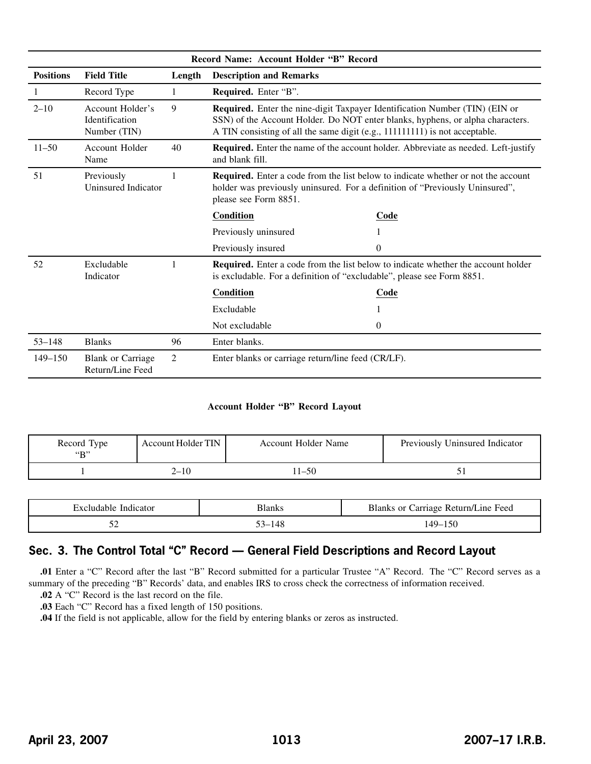<span id="page-27-0"></span>

| Record Name: Account Holder "B" Record |                                                    |        |                                                                                                                                                                                                   |                                                                                                                                                                                                                                                     |  |  |
|----------------------------------------|----------------------------------------------------|--------|---------------------------------------------------------------------------------------------------------------------------------------------------------------------------------------------------|-----------------------------------------------------------------------------------------------------------------------------------------------------------------------------------------------------------------------------------------------------|--|--|
| <b>Positions</b>                       | <b>Field Title</b>                                 | Length | <b>Description and Remarks</b>                                                                                                                                                                    |                                                                                                                                                                                                                                                     |  |  |
|                                        | Record Type                                        | 1      | Required. Enter "B".                                                                                                                                                                              |                                                                                                                                                                                                                                                     |  |  |
| $2 - 10$                               | Account Holder's<br>Identification<br>Number (TIN) | 9      |                                                                                                                                                                                                   | <b>Required.</b> Enter the nine-digit Taxpayer Identification Number (TIN) (EIN or<br>SSN) of the Account Holder. Do NOT enter blanks, hyphens, or alpha characters.<br>A TIN consisting of all the same digit (e.g., 111111111) is not acceptable. |  |  |
| $11 - 50$                              | Account Holder<br>Name                             | 40     | and blank fill.                                                                                                                                                                                   | <b>Required.</b> Enter the name of the account holder. Abbreviate as needed. Left-justify                                                                                                                                                           |  |  |
| 51                                     | Previously<br><b>Uninsured Indicator</b>           |        | <b>Required.</b> Enter a code from the list below to indicate whether or not the account<br>holder was previously uninsured. For a definition of "Previously Uninsured",<br>please see Form 8851. |                                                                                                                                                                                                                                                     |  |  |
|                                        |                                                    |        | <b>Condition</b>                                                                                                                                                                                  | Code                                                                                                                                                                                                                                                |  |  |
|                                        |                                                    |        | Previously uninsured                                                                                                                                                                              |                                                                                                                                                                                                                                                     |  |  |
|                                        |                                                    |        | Previously insured                                                                                                                                                                                | $\Omega$                                                                                                                                                                                                                                            |  |  |
| 52                                     | Excludable<br>Indicator                            |        | <b>Required.</b> Enter a code from the list below to indicate whether the account holder<br>is excludable. For a definition of "excludable", please see Form 8851.                                |                                                                                                                                                                                                                                                     |  |  |
|                                        |                                                    |        | Condition                                                                                                                                                                                         | Code                                                                                                                                                                                                                                                |  |  |
|                                        |                                                    |        | Excludable                                                                                                                                                                                        |                                                                                                                                                                                                                                                     |  |  |
|                                        |                                                    |        | Not excludable                                                                                                                                                                                    | $^{(1)}$                                                                                                                                                                                                                                            |  |  |
| $53 - 148$                             | <b>Blanks</b>                                      | 96     | Enter blanks.                                                                                                                                                                                     |                                                                                                                                                                                                                                                     |  |  |
| $149 - 150$                            | <b>Blank or Carriage</b><br>Return/Line Feed       | 2      | Enter blanks or carriage return/line feed (CR/LF).                                                                                                                                                |                                                                                                                                                                                                                                                     |  |  |

#### **Account Holder "B" Record Layout**

| Record Type<br>``R" | Account Holder TIN | Account Holder Name | Previously Uninsured Indicator |
|---------------------|--------------------|---------------------|--------------------------------|
|                     | $2 - 10$           | $1 - 50$            |                                |

| dicator<br>.<br>. | lank   | Feed<br>.1 n e<br>– Rianta<br>`arrı a o e<br>Refurn<br>$\alpha$ r |
|-------------------|--------|-------------------------------------------------------------------|
| - -<br>سدر        | $\sim$ | - -<br>150<br>--                                                  |

## **Sec. 3. The Control Total "C" Record — General Field Descriptions and Record Layout**

**.01** Enter a "C" Record after the last "B" Record submitted for a particular Trustee "A" Record. The "C" Record serves as a summary of the preceding "B" Records' data, and enables IRS to cross check the correctness of information received.

**.02** A "C" Record is the last record on the file.

**.03** Each "C" Record has a fixed length of 150 positions.

**.04** If the field is not applicable, allow for the field by entering blanks or zeros as instructed.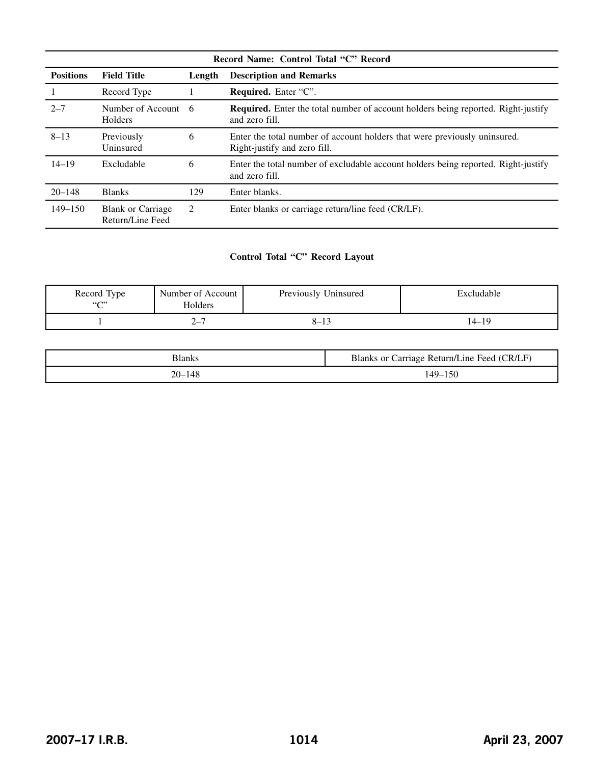| Record Name: Control Total "C" Record |                                              |        |                                                                                                            |  |  |  |
|---------------------------------------|----------------------------------------------|--------|------------------------------------------------------------------------------------------------------------|--|--|--|
| <b>Positions</b>                      | <b>Field Title</b>                           | Length | <b>Description and Remarks</b>                                                                             |  |  |  |
|                                       | Record Type                                  |        | Required. Enter "C".                                                                                       |  |  |  |
| $2 - 7$                               | Number of Account<br><b>Holders</b>          | 6      | <b>Required.</b> Enter the total number of account holders being reported. Right-justify<br>and zero fill. |  |  |  |
| $8 - 13$                              | Previously<br>Uninsured                      | 6      | Enter the total number of account holders that were previously uninsured.<br>Right-justify and zero fill.  |  |  |  |
| $14 - 19$                             | Excludable                                   | 6      | Enter the total number of excludable account holders being reported. Right-justify<br>and zero fill.       |  |  |  |
| $20 - 148$                            | <b>Blanks</b>                                | 129    | Enter blanks.                                                                                              |  |  |  |
| $149 - 150$                           | <b>Blank or Carriage</b><br>Return/Line Feed | 2      | Enter blanks or carriage return/line feed (CR/LF).                                                         |  |  |  |

## **Control Total "C" Record Layout**

| Record Type<br>(67) | Number of Account<br>Holders | Previously Uninsured | Excludable |
|---------------------|------------------------------|----------------------|------------|
|                     | 2–7                          | $8 - 13$             | 14–19      |

| <b>Blanks</b>   | Blanks or Carriage Return/Line Feed (CR/LF) |
|-----------------|---------------------------------------------|
| 148<br>$20 - 1$ | 149–150                                     |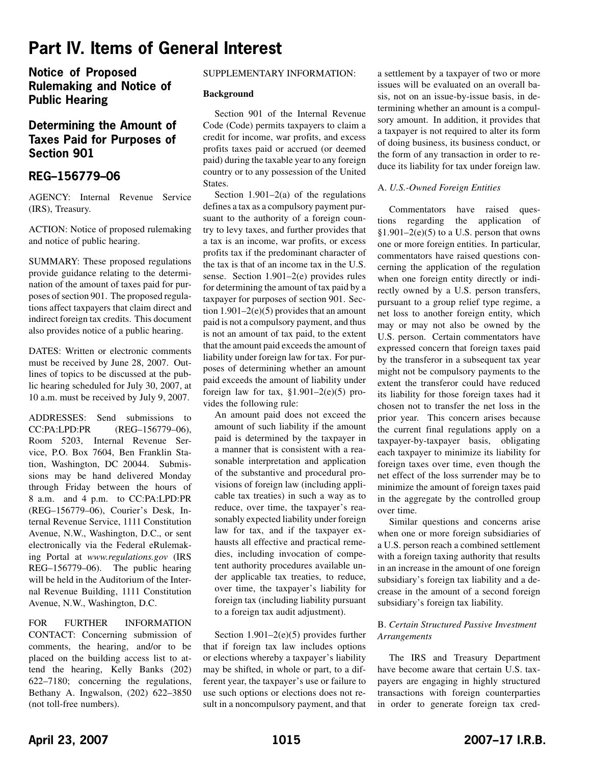# <span id="page-29-0"></span>**Part IV. Items of General Interest**

## **Notice of Proposed Rulemaking and Notice of Public Hearing**

## **Determining the Amount of Taxes Paid for Purposes of Section 901**

## **REG–156779–06**

AGENCY: Internal Revenue Service (IRS), Treasury.

ACTION: Notice of proposed rulemaking and notice of public hearing.

SUMMARY: These proposed regulations provide guidance relating to the determination of the amount of taxes paid for purposes of section 901. The proposed regulations affect taxpayers that claim direct and indirect foreign tax credits. This document also provides notice of a public hearing.

DATES: Written or electronic comments must be received by June 28, 2007. Outlines of topics to be discussed at the public hearing scheduled for July 30, 2007, at 10 a.m. must be received by July 9, 2007.

ADDRESSES: Send submissions to CC:PA:LPD:PR (REG–156779–06), Room 5203, Internal Revenue Service, P.O. Box 7604, Ben Franklin Station, Washington, DC 20044. Submissions may be hand delivered Monday through Friday between the hours of 8 a.m. and 4 p.m. to CC:PA:LPD:PR (REG–156779–06), Courier's Desk, Internal Revenue Service, 1111 Constitution Avenue, N.W., Washington, D.C., or sent electronically via the Federal eRulemaking Portal at *www.regulations.gov* (IRS REG–156779–06). The public hearing will be held in the Auditorium of the Internal Revenue Building, 1111 Constitution Avenue, N.W., Washington, D.C.

FOR FURTHER INFORMATION CONTACT: Concerning submission of comments, the hearing, and/or to be placed on the building access list to attend the hearing, Kelly Banks (202) 622–7180; concerning the regulations, Bethany A. Ingwalson, (202) 622–3850 (not toll-free numbers).

#### SUPPLEMENTARY INFORMATION:

#### **Background**

Section 901 of the Internal Revenue Code (Code) permits taxpayers to claim a credit for income, war profits, and excess profits taxes paid or accrued (or deemed paid) during the taxable year to any foreign country or to any possession of the United States.

Section  $1.901-2(a)$  of the regulations defines a tax as a compulsory payment pursuant to the authority of a foreign country to levy taxes, and further provides that a tax is an income, war profits, or excess profits tax if the predominant character of the tax is that of an income tax in the U.S. sense. Section 1.901–2(e) provides rules for determining the amount of tax paid by a taxpayer for purposes of section 901. Section  $1.901-2(e)(5)$  provides that an amount paid is not a compulsory payment, and thus is not an amount of tax paid, to the extent that the amount paid exceeds the amount of liability under foreign law for tax. For purposes of determining whether an amount paid exceeds the amount of liability under foreign law for tax,  $$1.901-2(e)(5)$  provides the following rule:

An amount paid does not exceed the amount of such liability if the amount paid is determined by the taxpayer in a manner that is consistent with a reasonable interpretation and application of the substantive and procedural provisions of foreign law (including applicable tax treaties) in such a way as to reduce, over time, the taxpayer's reasonably expected liability under foreign law for tax, and if the taxpayer exhausts all effective and practical remedies, including invocation of competent authority procedures available under applicable tax treaties, to reduce, over time, the taxpayer's liability for foreign tax (including liability pursuant to a foreign tax audit adjustment).

Section  $1.901-2(e)(5)$  provides further that if foreign tax law includes options or elections whereby a taxpayer's liability may be shifted, in whole or part, to a different year, the taxpayer's use or failure to use such options or elections does not result in a noncompulsory payment, and that

a settlement by a taxpayer of two or more issues will be evaluated on an overall basis, not on an issue-by-issue basis, in determining whether an amount is a compulsory amount. In addition, it provides that a taxpayer is not required to alter its form of doing business, its business conduct, or the form of any transaction in order to reduce its liability for tax under foreign law.

#### A. *U.S.-Owned Foreign Entities*

Commentators have raised questions regarding the application of §1.901–2 $(e)(5)$  to a U.S. person that owns one or more foreign entities. In particular, commentators have raised questions concerning the application of the regulation when one foreign entity directly or indirectly owned by a U.S. person transfers, pursuant to a group relief type regime, a net loss to another foreign entity, which may or may not also be owned by the U.S. person. Certain commentators have expressed concern that foreign taxes paid by the transferor in a subsequent tax year might not be compulsory payments to the extent the transferor could have reduced its liability for those foreign taxes had it chosen not to transfer the net loss in the prior year. This concern arises because the current final regulations apply on a taxpayer-by-taxpayer basis, obligating each taxpayer to minimize its liability for foreign taxes over time, even though the net effect of the loss surrender may be to minimize the amount of foreign taxes paid in the aggregate by the controlled group over time.

Similar questions and concerns arise when one or more foreign subsidiaries of a U.S. person reach a combined settlement with a foreign taxing authority that results in an increase in the amount of one foreign subsidiary's foreign tax liability and a decrease in the amount of a second foreign subsidiary's foreign tax liability.

#### B. *Certain Structured Passive Investment Arrangements*

The IRS and Treasury Department have become aware that certain U.S. taxpayers are engaging in highly structured transactions with foreign counterparties in order to generate foreign tax cred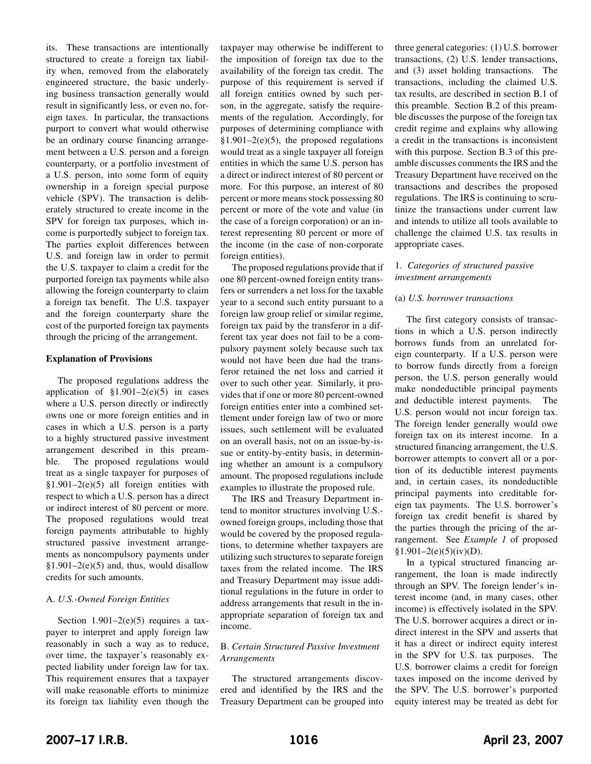its. These transactions are intentionally structured to create a foreign tax liability when, removed from the elaborately engineered structure, the basic underlying business transaction generally would result in significantly less, or even no, foreign taxes. In particular, the transactions purport to convert what would otherwise be an ordinary course financing arrangement between a U.S. person and a foreign counterparty, or a portfolio investment of a U.S. person, into some form of equity ownership in a foreign special purpose vehicle (SPV). The transaction is deliberately structured to create income in the SPV for foreign tax purposes, which income is purportedly subject to foreign tax. The parties exploit differences between U.S. and foreign law in order to permit the U.S. taxpayer to claim a credit for the purported foreign tax payments while also allowing the foreign counterparty to claim a foreign tax benefit. The U.S. taxpayer and the foreign counterparty share the cost of the purported foreign tax payments through the pricing of the arrangement.

#### **Explanation of Provisions**

The proposed regulations address the application of  $$1.901-2(e)(5)$  in cases where a U.S. person directly or indirectly owns one or more foreign entities and in cases in which a U.S. person is a party to a highly structured passive investment arrangement described in this preamble. The proposed regulations would treat as a single taxpayer for purposes of  $$1.901-2(e)(5)$  all foreign entities with respect to which a U.S. person has a direct or indirect interest of 80 percent or more. The proposed regulations would treat foreign payments attributable to highly structured passive investment arrangements as noncompulsory payments under  $§1.901-2(e)(5)$  and, thus, would disallow credits for such amounts.

#### A. *U.S.-Owned Foreign Entities*

Section  $1.901-2(e)(5)$  requires a taxpayer to interpret and apply foreign law reasonably in such a way as to reduce, over time, the taxpayer's reasonably expected liability under foreign law for tax. This requirement ensures that a taxpayer will make reasonable efforts to minimize its foreign tax liability even though the

taxpayer may otherwise be indifferent to the imposition of foreign tax due to the availability of the foreign tax credit. The purpose of this requirement is served if all foreign entities owned by such person, in the aggregate, satisfy the requirements of the regulation. Accordingly, for purposes of determining compliance with  $§1.901-2(e)(5)$ , the proposed regulations would treat as a single taxpayer all foreign entities in which the same U.S. person has a direct or indirect interest of 80 percent or more. For this purpose, an interest of 80 percent or more means stock possessing 80 percent or more of the vote and value (in the case of a foreign corporation) or an interest representing 80 percent or more of the income (in the case of non-corporate foreign entities).

The proposed regulations provide that if one 80 percent-owned foreign entity transfers or surrenders a net loss for the taxable year to a second such entity pursuant to a foreign law group relief or similar regime, foreign tax paid by the transferor in a different tax year does not fail to be a compulsory payment solely because such tax would not have been due had the transferor retained the net loss and carried it over to such other year. Similarly, it provides that if one or more 80 percent-owned foreign entities enter into a combined settlement under foreign law of two or more issues, such settlement will be evaluated on an overall basis, not on an issue-by-issue or entity-by-entity basis, in determining whether an amount is a compulsory amount. The proposed regulations include examples to illustrate the proposed rule.

The IRS and Treasury Department intend to monitor structures involving U.S. owned foreign groups, including those that would be covered by the proposed regulations, to determine whether taxpayers are utilizing such structures to separate foreign taxes from the related income. The IRS and Treasury Department may issue additional regulations in the future in order to address arrangements that result in the inappropriate separation of foreign tax and income.

#### B. *Certain Structured Passive Investment Arrangements*

The structured arrangements discovered and identified by the IRS and the Treasury Department can be grouped into three general categories: (1) U.S. borrower transactions, (2) U.S. lender transactions, and (3) asset holding transactions. The transactions, including the claimed U.S. tax results, are described in section B.1 of this preamble. Section B.2 of this preamble discusses the purpose of the foreign tax credit regime and explains why allowing a credit in the transactions is inconsistent with this purpose. Section B.3 of this preamble discusses comments the IRS and the Treasury Department have received on the transactions and describes the proposed regulations. The IRS is continuing to scrutinize the transactions under current law and intends to utilize all tools available to challenge the claimed U.S. tax results in appropriate cases.

#### 1. *Categories of structured passive investment arrangements*

#### (a) *U.S. borrower transactions*

The first category consists of transactions in which a U.S. person indirectly borrows funds from an unrelated foreign counterparty. If a U.S. person were to borrow funds directly from a foreign person, the U.S. person generally would make nondeductible principal payments and deductible interest payments. The U.S. person would not incur foreign tax. The foreign lender generally would owe foreign tax on its interest income. In a structured financing arrangement, the U.S. borrower attempts to convert all or a portion of its deductible interest payments and, in certain cases, its nondeductible principal payments into creditable foreign tax payments. The U.S. borrower's foreign tax credit benefit is shared by the parties through the pricing of the arrangement. See *Example 1* of proposed  $§1.901-2(e)(5)(iv)(D).$ 

In a typical structured financing arrangement, the loan is made indirectly through an SPV. The foreign lender's interest income (and, in many cases, other income) is effectively isolated in the SPV. The U.S. borrower acquires a direct or indirect interest in the SPV and asserts that it has a direct or indirect equity interest in the SPV for U.S. tax purposes. The U.S. borrower claims a credit for foreign taxes imposed on the income derived by the SPV. The U.S. borrower's purported equity interest may be treated as debt for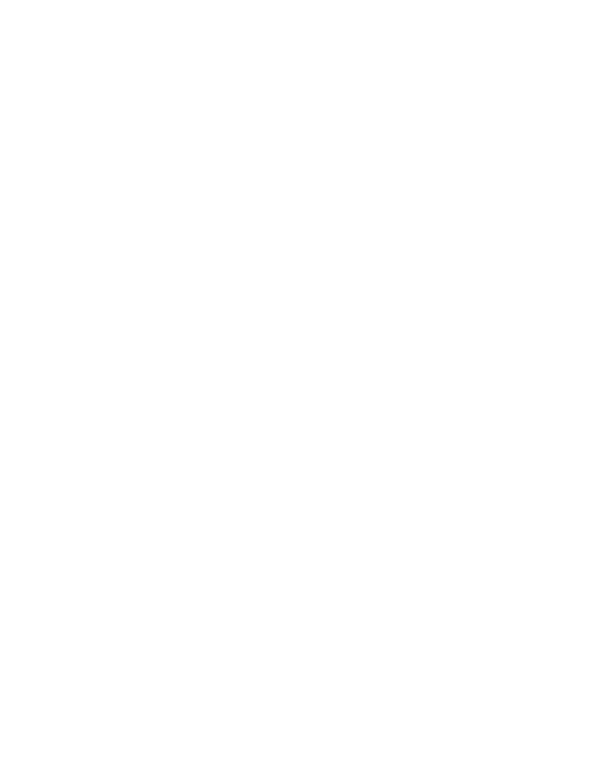# **HIGHLIGHTS** OF THIS ISSUE

These synopses are intended only as aids to the reader in identifying the subject matter covered. They may not be relied upon as authoritative interpretations.

**INCOME TAX** 

T.D. 9318, page 990.

Final regulations under section 263A of the Code relate to the

definition of self-constructed property that is considered proparty duced on a "routine and repetitive" basis in the ordinary course

of a taxpayers trade or business for purposes of the simpli-

fied service cost method and the simplified production methodice 2007-32, page 996.

provided by the regulations. For purposes of these methods ighted average interest rate update; corporate bond

property is produced on a routine and repetitive basis only if nuces; 30-year Treasury securities. The weighted avermerous substantially identical assets are manufactured within interest rate for April 2007 and the resulting permissible a taxable year using standardized designs and assembly liange of interest rates used to calculate current liability and to techniques, and either the applicable recovery period of decermine the required contribution are set forth. property determined under section 168(c) is not longer than 3

years or the property is a material or supply that will be used to  $2007-34$ , page 996.

and consumed within 3 years of being produced.

#### T.D. 932 0, page 994.

This notice sets forth guidance regarding the application of section 409A to split-dollar life insurance arrangements. This no tice addresses the identification of the types of arrangements

extension property and provides additional guidance with re-

spect to the original use requirement. Notice 2006-77 clari-

fied, modified, and amplified.

Final reulations under section 985 of the Code provide the biect to section 409A, including the application of the effectranslaion rates that must be used when translating into dollaixe date rules under section 409A. This notice also includes certainitems and amounts transferred by a qualified businessidance on bringing such arrangements into compliance with unit (BU) to its home office or parent corporation for purpossection 409A, and provides certain related relief under the efof computing dollar approximate separate transactions methed tive date provisions of the regulations under sections 61 (DASTM gain or loss. and 7872 addressing split-dollar life insurance arrangements.

dations.

#### REG-156779-06, page 1015.

Proposed regulations under section 901 of the Code provide EMPT ORGANIZATIONS guidance relating to the determination of the amount of taxes paid for purposes of section 901. A public hearing is scheduled for uly 30, 2007. Announcement 2007-42, page 1037. A list is provided of organizations now classified as private foun-

Notice 2007–36, page 1000.

This notice provides guidance with respect to the 50-percent additional first year depreciation deduction provided by section 1400N(d) of the Code for specified Gulf Opportunity Zone

(Continued on the next page)

Announcements of Disbarments and Suspensions begin on page 1026. Finding Lists begin on page ii.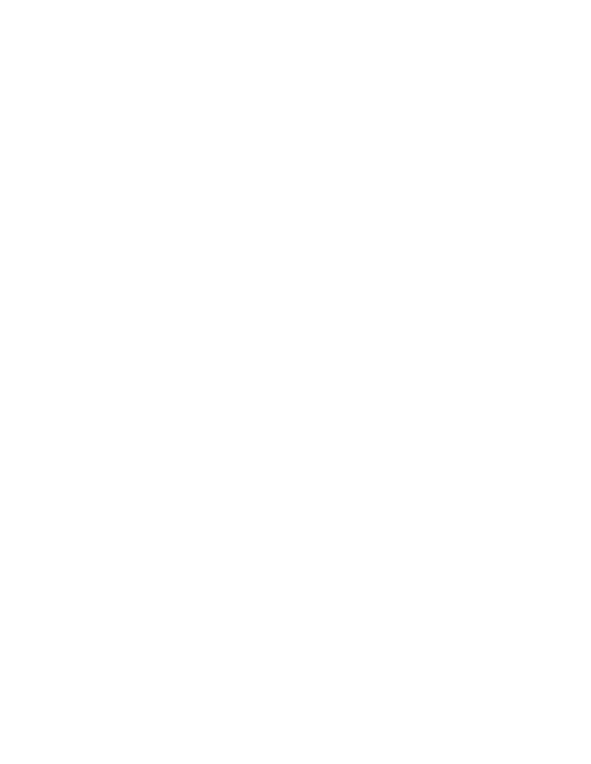#### Announcement 2007-43, page 1038.

The IRS has revoked its determination that EPASA-USA, Inc., of Ridgewood, NY; Morocco and the Casbah Dance Experience, Inc., of New York, NY; ABG Housing, Inc., of Orlando, FL; The Credit Network, Inc., of Silver Spring, MD; Global Mindlink Foundation, Inc., of Coral Springs, FL; Credit Debt Solutions, Inc., of Chevy Chase, MD; Skopos Charities, Inc., of San Jose, CA; Douglas R. Patricia B. McKinnon Charitable Supporting Organization of Tomball, TX; The Dreamhouse Charity, Inc., of Wilsonville, OR; Dads Place Minstries, Inc., of Thurmont, MD; Potomac Forum, Ltd., of Potomac, MD; Community Housing and Land Development, Inc., of San Jose, CA; and New Haven Shelter of Rancho Palos Verdes, CA, qualify as organizations described in sections  $501(c)(3)$  and  $170(c)(2)$  of the Code.

## **EXCISE TAX**

Notice 2007-37, page 1002.

This notice provides guidance on the credits and payments provided for renewable diesel and renewable diesel mixtures under sections 34, 40A, 6426, and 6427 of the Code.

## **ADMINISTRATIVE**

Rev. Proc. 2007-29, page 1004.

Electronic filing specifications. This procedure contains changes in electronic filing procedures for Form 8851, **Sum**mary of Archer MSAs The procedure should be used for filing Forms 8851 for Tax Years 2005, 2006, and any subsequent years. Rev. Proc. 2001-31 superseded.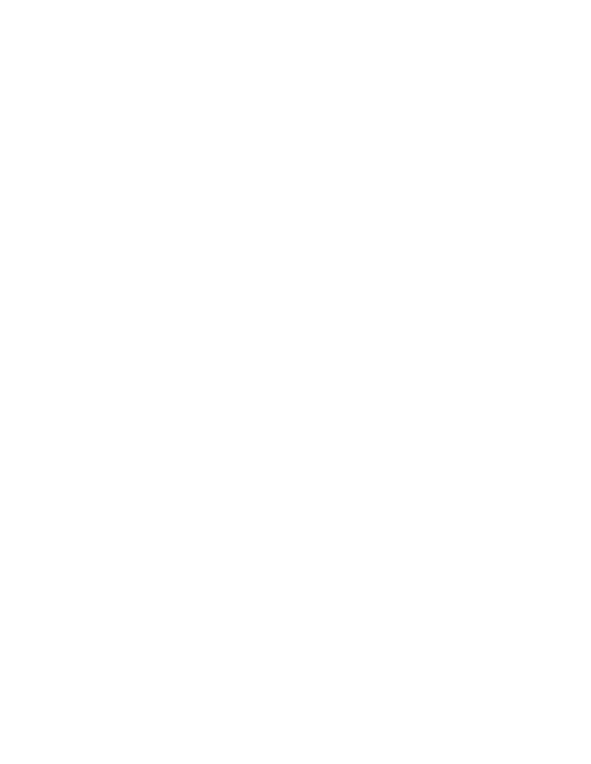# Part I. Rulings and Decisions Under the Internal Revenue Code of 1986

Section 34.—Certain Uses of Gasoline and Special Fuels

A notice provides guidance on the credits and payments provided for renewable diesel and renewable diesel mixtures under sections 34, 40A, 6426, and 6427. See Notice 2007-37, page 1002.

#### Section 40A.—Biodiesel and Renewable Diesel Used as Fuel

A notice provides guidance on the credits and payments provided for renewable diesel and renewable diesel mixtures under sections 34, 40A, 6426, and 6427. See Notice 2007-37, page 1002.

Section 263A.-Capitalization and Inclusion in Inventory Costs of Certain Expenses

T.D. 9318

**DEPARTMENT OF** THE TREASURY Internal Revenue Service 26 CFR Part 1

Guidance Regarding the Simplified Service Cost Method and the Simplified **Production Method** 

AGENCY: Internal Revenue Service (IRS), Treasury.

ACTION: Final regulations and removal of temporary regulations.

SUMMARY: This document contains final regulations relating to the capitalization of costs under the simplified service cost method and the simplified production method provided by the Income Tax Regulations. For taxpayers that use the simplified service cost method or the simplified production method, the regulations clarify when self-constructed assets are produced

on a routine and repetitive basis in the ordinary course of their businesses.

**DATES:** Effective DateThese regulations are effective on March 29, 2007.

**Applicability Date** For dates of applicability, see  $\S§1.263A-1(1)$  and  $1.263A - 2(f)$ .

**FOR FURTHER INFORMATION** CONTACT: **Steven**  $J_{\cdot}$ Gee  $\overline{or}$ Donna M. Crawford, (202) 622-4970 (not a toll-free number).

#### SUPPLEMENTARY INFORMATION:

#### Background

This document contains amendments to 26 CFR part 1. On August 2, 2005, the IRS and Treasury Department published in the Federal Registera notice of proposed rulemaking (REG-121584-05, 2005-2 C.B. 523 70 FR 44535) by cross 26 CFR 1.263A-1 Uniform capitalization of costs. *reference to temporary regulations (T.D.* 9217, 2005-2 C.B. 498 70 FR 44467) (collectively, the 2005 regulations) under section 263A of the Internal Revenue

Code (Code). These regulations provide that self-constructed tangible personal property is considered produced on a routine and repetitive basis in the ordinary course of a taxpayers trade or business for purposes of the simplified service cost method or the simplified production method when units of tangible personal property are mass-produced, that is, numerous substantially identical assets are manufactured within a taxable year using standardized designs and assembly line techniques, and the applicable recovery period of such assets under section  $168(c)$ is not longer than 3 years.

The IRS and Treasury Department issued Rev. Proc. 2006-11, 2006-3 I.R.B. 309, see  $\frac{$601.601}{d}(2)(ii)$ **b**), which provides procedures by which a taxpayer changing its method of accounting to comply with  $$1.263A-1T$  or  $$1.263A-2T$ (issued under T.D. 9217) for its first taxable year ending on or after August 2, 2005, may request the consent of the Commissioner utilizing either the administrative procedures for requesting the advance consent of the Commissioner (for

further guidance, for example, see Rev. Proc. 97-27, 1997-1 C.B. 680, as modified and amplified by Rev. Proc. 2002–19, 2002-1 C.B. 696, as amplified and clarified by Rev. Proc. 2002-54, 2002-2 C.B. 432, and  $\frac{$601.601}{d}(2)(ii)$ **(b)**), or the administrative procedures for obtaining the automatic consent of the Commissioner (for further guidance, for example, see Rev. Proc. 2002-9, 2002-1 C.B. 327, as modified and clarified by Announcement 2002-17, 2002-1 C.B. 561, modified and amplified by Rev. Proc. 2002-19, 2002-1 C.B. 696, and amplified, clarified, and modified by Rev. Proc. 2002-54, 2002-2 C.B. 432, and  $\frac{\S 601.601}{d}(2)(ii)$ **(b)**). These final regulations have been revised to be consistent with the procedures provided in Rev. Proc. 2006-11.

One written comment was received in response to the 2005 regulations. No requests to speak at a public hearing were received, and no hearing was held. After consideration of the comment, the proposed regulations under section 263A are adopted by this Treasury decision.

#### **Summary of Comments**

A commentator expressed the belief that the categories of property, as described in Notice 88-86, 1988-2 C.B. 401, see  $\frac{$601.601}{d}(2)(ii)$ **b**), eligible for the simplified service cost method and the simplified production method represent a reasonable balance between technical accuracy and simplification. The commentator opposed the requirements in the 2005 regulations that, to qualify for the category of property "produced on a routine and repetitive basis," the property must be mass-produced using standardized designs and assembly line techniques, and have an applicable recovery period of not longer than 3 years. The commentator argued that, with respect to electric utility companies, there is no sound tax policy to support limiting the application of the methods based on the manner in which self-constructed assets are produced or the number of years over which the self-constructed assets are depreciated. The commentator further stated that the preamble to the 2005 regulations did not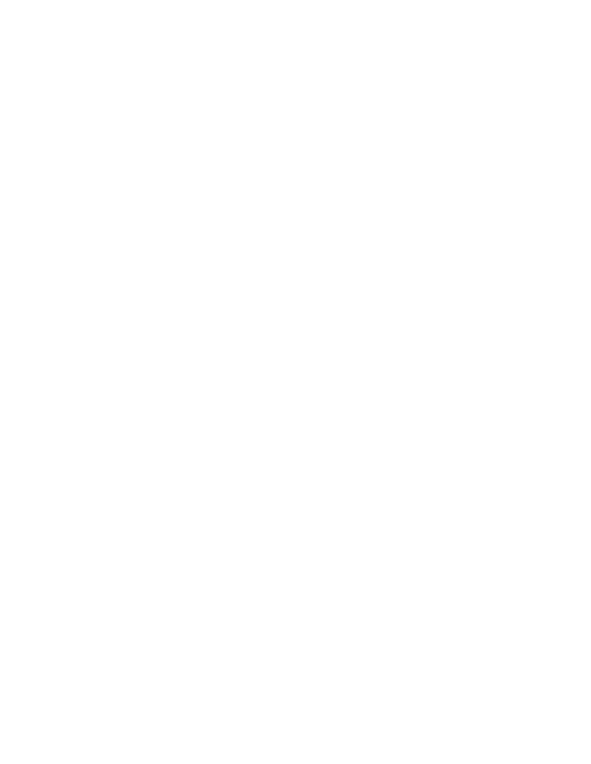#### **Adoption of Amendment to the Regulations**

Accordingly, 26 CFR part 1 is amended as follows:

#### PART 1-INCOME TAXES

Paragraph 1. The authority citation for part 1 continues to read in part as follows:

Authority: 26 U.S.C. 7805 \*\*\*

Par. 2. Section 1.985-3 is amended by revising paragraph  $(d)(3)$  to read as follows:

#### §1.985-3 United States dollar approximate separate transactions method.

\* \* \* \* \*

(d) \* \* \*

(3) Positive adjustments (i) In general. The items described in this paragraph  $(d)(3)$  are dividend distributions for the taxable year and any items that decrease net worth for the taxable year but that generally do not affect income or loss or earnings and profits (or a deficit in earnings and profits). Such items include

a transfer to the home office of a QBU branch and a return of capital.

(ii) Translation Except as provided by ruling or administrative pronouncement, items described in paragraph  $(d)(3)(i)$  of this section shall be translated into dollars as follows:

(A) If the item giving rise to the adjustment would be translated under paragraph  $(d)(5)$  of this section at the exchange rate for the last translation period of the taxable year if it were shown on the QBU's year-end balance sheet, such item shall be translated at the exchange rate on the date the item is transferred.

(B) If the item giving rise to the adjustment would be translated under paragraph  $(d)(5)$  of this section at the exchange rate for the translation period in which the cost of the item was incurred if it were shown on the QBU's year-end balance sheet, such item shall be translated at the same historical rate.

 $(iii)$  Effective dateParagraph  $(d)(3)(ii)$ of this section is applicable for any transfer, dividend, or distribution that is a return of capital that is made after March 8, 2005, and that gives rise to an adjustment under this paragraph  $(d)(3)$ .

\* \* \* \* \*

Kevin M. Brown, Deputy Commissioner for Services and Enforcement.

Approved March 20, 2007.

Eric Solomon, Assistant Secretary for Tax Policy.

(Filed by the Office of the Federal Register on March 29, 2007, 8:45 a.m., and published in the issue of the Federal Register for March 30, 2007, 72 F.R. 15043)

### Section 6426.-Credit for Alcohol Fuel, Biodiesel and **Alternative Fuel Mixtures**

A notice provides guidance on the credits and payments provided for renewable diesel and renewable diesel mixtures under sections 34, 40A, 6426, and 6427. See Notice 2007-37, page 1002.

## Section 6427.-Fuels Not Used for Taxable Purposes

A notice provides guidance on the credits and payments provided for renewable diesel and renewable diesel mixtures under sections 34, 40A, 6426, and 6427. See Notice 2007-37, page 1002.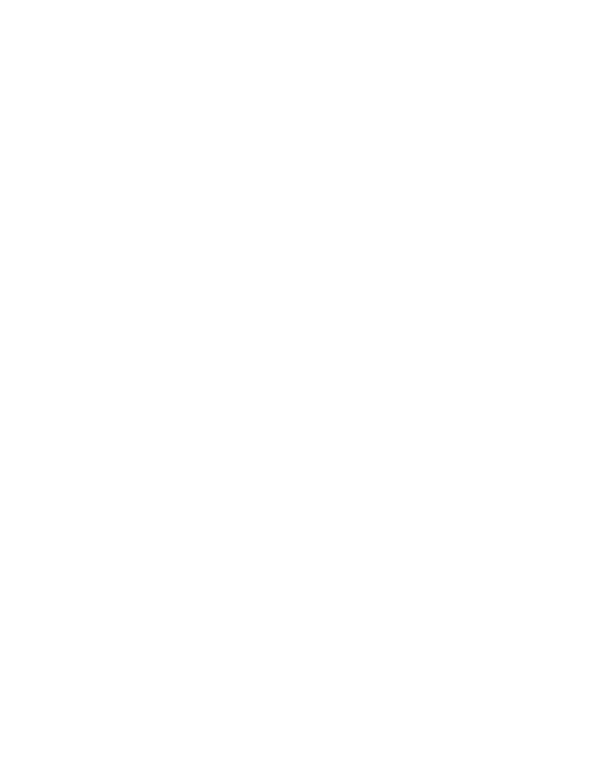NOTE: Use this Revenue Procedure to prepare Form 8851, Summary of Archer MSAs, for submission to Internal Revenue Service (IRS) using the FIRE (Filing Information Returns Electronically) System. Electronic filing is the only filing option for filers with more than 250 formsall the IRS Enterprise Computing Center - Martinsburg (ECC-MTB) toll-free at 1-866-455-7438 for log on procedures specific to Form 8851.

26 CFR 601.602: Tax forms and instructions.

#### Rev. Proc. 2007-29

#### TABLE OF CONTENTS

#### Part A. General

| SEC. 2. NATURE OF CHANGES (and continuous contract the contract of the contract of the contract of the contract of the contract of the contract of the contract of the contract of the contract of the contract of the contrac |
|--------------------------------------------------------------------------------------------------------------------------------------------------------------------------------------------------------------------------------|
| SEC. 3. WHERE TO FILE AND HOW TO CONTACT THE IRS ENTERPRISE COMPUTING CENTER -                                                                                                                                                 |
|                                                                                                                                                                                                                                |
|                                                                                                                                                                                                                                |
|                                                                                                                                                                                                                                |
|                                                                                                                                                                                                                                |
|                                                                                                                                                                                                                                |
|                                                                                                                                                                                                                                |
| Part B. Electronic Filing Specifications                                                                                                                                                                                       |
|                                                                                                                                                                                                                                |
|                                                                                                                                                                                                                                |
|                                                                                                                                                                                                                                |
|                                                                                                                                                                                                                                |
|                                                                                                                                                                                                                                |
|                                                                                                                                                                                                                                |
|                                                                                                                                                                                                                                |
| Part C. Record Format Specifi cations and Record Layouts                                                                                                                                                                       |
| SEC. 1. THE TRUSTEE "A" RECORD - GENERAL FIELD DESCRIPTIONS AND RECORD LAYOUT  1011                                                                                                                                            |
| SEC. 2. THE ACCOUNT HOLDER "B" RECORD - GENERAL FIELD DESCRIPTIONS AND RECORD                                                                                                                                                  |
| SEC. 3. THE CONTROL TOTAL "C" RECORD - GENERAL FIELD DESCRIPTIONS AND RECORD                                                                                                                                                   |